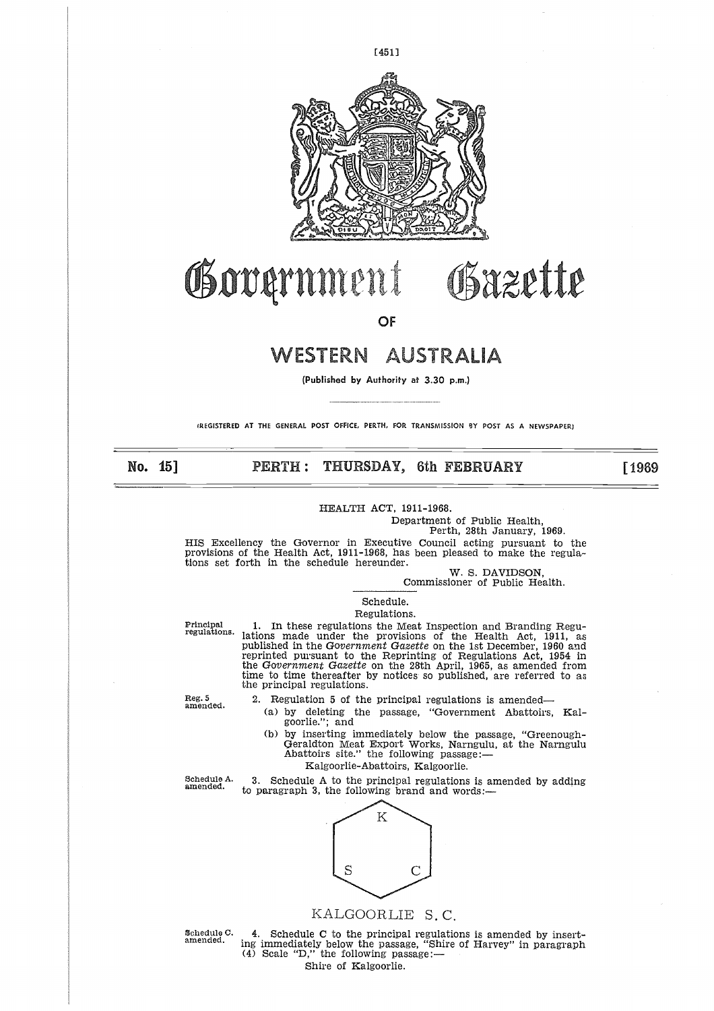

# **Government** Gazette

**OF**

## WESTERN AUSTRALIA

**(Published** by Authority at 3.30 p.m.)

(REGISTERED AT THE GENERAL POST OFFICE, PERTH, FOR TRANSMISSION 9Y POST AS A NEWSPAPER)

## **No. 15] PERTH : THURSDAY, 6th FEBRUARY [ 1969**

HEALTH ACT, 1911-1968.

Department of Public Health,

Perth, 28th January, 1969.

HIS Excellency the Governor in Executive Council acting pursuant to the provisions of the Health Act, 1911-1968, has been pleased to make the regulations set forth in the schedule hereunder.

W. S. DAVIDSON,

Commissioner of Public Health.

#### Schedule. Regulations.

FRINCT, 1911-1968.<br>
Pepartment of Public Health,<br>
Perth, 28th January, 1969.<br>
Principal of the Health Act, 1911-1968, has been pleased to make the regula-<br>
tions set forth in the schedule hereunder.<br>
W. S. DAVIDSON,<br>
Commi reprinted pursuant to the Reprinting of Regulations Act, 1954 in the *Government Gazette* on the 28th April, 1965, as amended from time to time thereafter by notices so published, are referred to a<br>the principal regulations.

Reg. 5 amended.

2. Regulation 5 of the principal regulations is amended

- (a) by deleting the passage, "Government Abattoirs, Kalgoorlie."; and
- (b) by inserting immediately below the passage, "Greenough-Geraldton Meat Export Works, Narngulu, at the Narngulu<br>Abattoirs site.'' the following passage: time to time thereafter by notices so published, are referred to a<br>the principal regulations.<br>Reg. 5 2. Regulation 5 of the principal regulations is amended—<br>(a) by deleting the passage, "Government Abattoirs, Kal-<br>goorlie
	- Kalgoorlie-Abattoirs, Kalgoorlie.



## KALGOORLIE S. C,

SCREAGOORLIE S.C.<br>
Schedule C. 4. Schedule C to the principal regulations is amended by insert-<br>
amended. ing immediately below the passage, "Shire of Harvey" in paragraph<br>
(4) Scale "D," the following passage:— Shire of Kalgoorlie.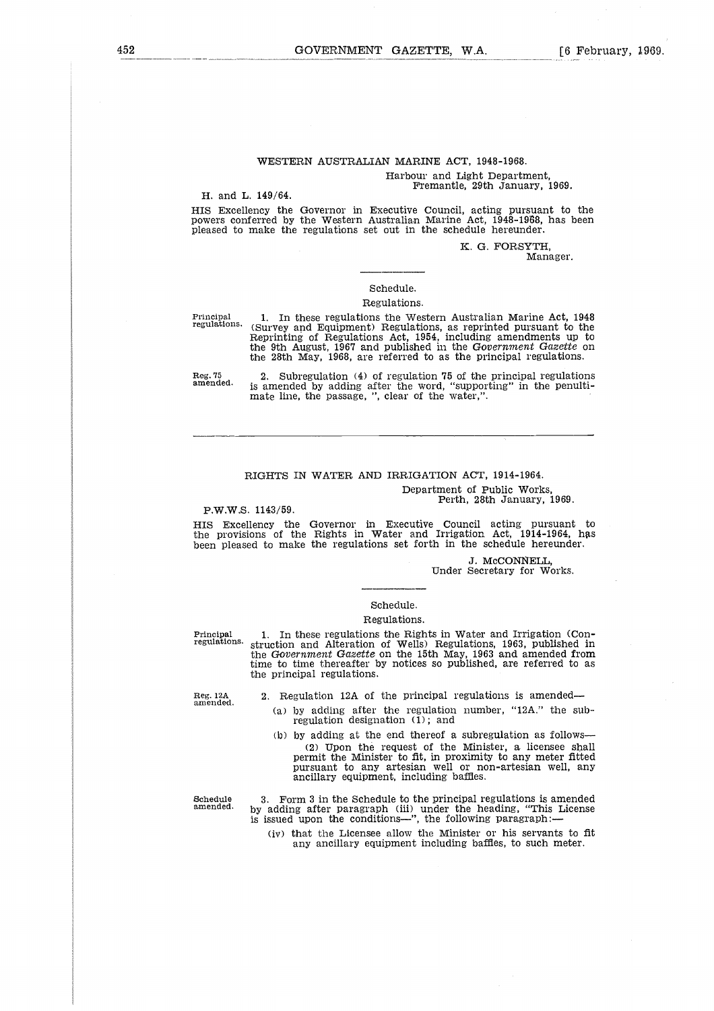#### WESTERN AUSTRALIAN MARINE ACT, 1948-1968. Harbour and Light Department, Fremantle, 29th January, 1969.

#### H. and L. 149/64.

HIS Excellency the Governor in Executive Council, acting pursuant to the powers conferred by the Western Australian Marine Act, 1948-1968, has been pleased to make the regulations set out in the schedule hereunder.

K. G. FORSYTH,

Manager.

#### Schedule.

#### Regulations.

Principal regulations.

1. In these regulations the Western Australian Marine Act, 1948 (Survey and Equipment) Regulations, as reprinted pursuant to the Reprinting of Regulations Act, 1954, including amendments up to the 9th August, 1967 and published in the *Government Gazette* on the 28th May, 1968, are referred to as the principal regulations.

Reg. 75 amended.

2. Subregulation (4) of regulation 75 of the principal regulations is amended by adding after the word, "supporting" in the penultimate line, the passage, ", clear of the water,".

#### RIGHTS IN WATER AND IRRIGATION ACT, 1914-1964.

Department of Public Works, Perth, 28th January, 1969.

P.W.W.S. 1143/59.

HIS Excellency the Governor in Executive Council acting pursuant to the provisions of the Rights in Water and Irrigation Act, 1914-1964, has been pleased to make the regulations set forth in the schedule hereunder.

> *J.* McCONNELL, Under Secretary for Works.

#### Schedule.

#### Regulations.

P.W.W.S. 1143/59.<br>
HIS Excellency the Governor in Executive Council acting pursuant to<br>
the provisions of the Rights in Water and Irrigation Act, 1914-1964, has<br>
been pleased to make the regulations set forth in the schedu regulations. struction and Alteration of Wells) Regulations, 1963, published in the *Government Gazette* on the 15th May, 1963 and amended from time to time thereafter by notices so published, are referred to as the principal regulations.

Reg. 12A amended.

2. Regulation 12A of the principal regulations is amended

- (a) by adding after the regulation number, "12A." the sub-regulation designation (1); and
- (b) by adding at the end thereof a subregulation as follows (2) Upon the request of the Minister, a licensee shall permit the Minister to fit, in proximity to any meter fitted Pursuant to any artesian well or non-artesian well, any ancillary equipment, including baffles.

Schedule amended.

3. Form 3 in the Schedule to the principal regulations is amended by adding after paragraph (iii) under the heading, "This License is issued upon the conditions—", the following paragraph:

(iv) that the Licensee allow the Minister or his servants to fit any ancillary equipment including baffles, to such meter.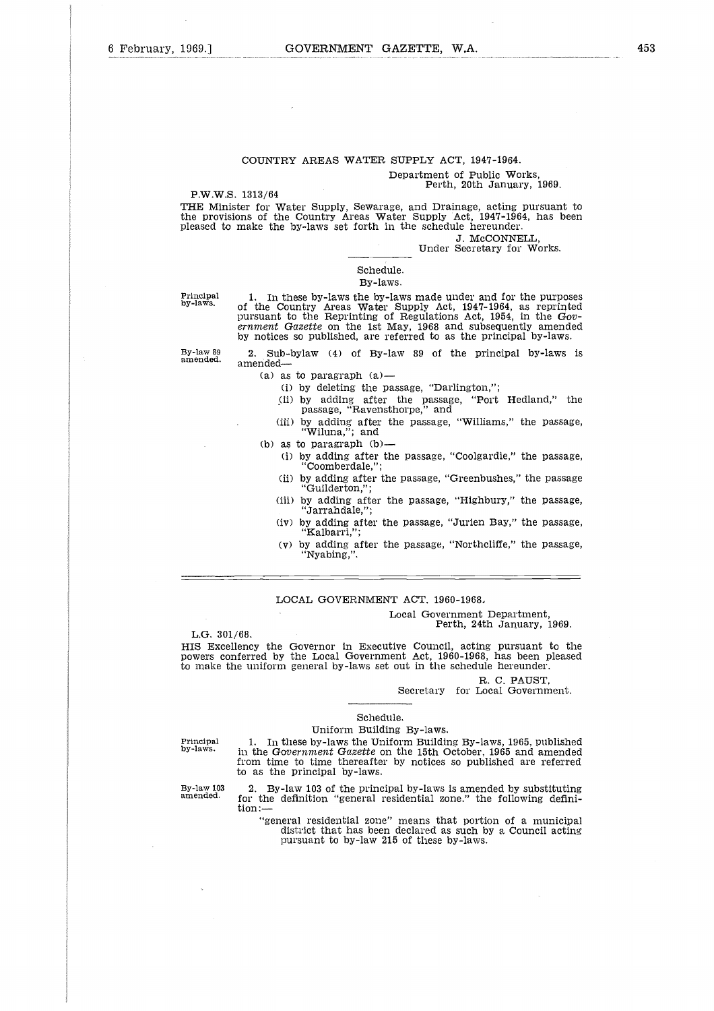## COUNTRY AREAS WATER SUPPLY ACT, 1947-1964. Department of Public Works,

## Perth, 20th January, 1969.

P.W.W.S. 1313/64

THE Minister for Water Supply, Sewarage, and Drainage, acting pursuant to the provisions of the Country Areas Water Supply Act, 1947-1964, has been pleased to make the by-laws set forth in the schedule hereunder.

J. McCONNELL,

Under Secretary for Works.

## Schedule.

### By-laws.

Principal by-laws.

By-law 89 amended.

1. In these by-laws the by-laws made under and for the purposes of the Country Areas Water Supply Act, 1947-1964, as reprinted pursuant to the Reprinting of Regulations Act, 1954, in the *Government Gazette* on the 1st May, 1968 and subsequently amended by notices so published, are referred to as the principal by-laws.

2. Sub-bylaw (4) of By-law 89 of the principal by-laws is amended

- $(a)$  as to paragraph  $(a)$ 
	- (i) by deleting the passage, "Darlington,";
	- (ii) by adding after the passage, "Port Hedland," the passage, "Ravensthorpe," and
	- (iii) by adding after the passage, "Williams," the passage, "Wiluna,"; and
- (b) as to paragraph (b)—
	- (i) by adding after the passage, "Coolgardie," the passage "Coomberdale,";
	- (ii) by adding after the passage, "Greenbushes," the passage "Guilderton,";
	- (iii) by adding after the passage, "Highbury," the passage, "Jarrandale,";
	- (iv) by adding after the passage, "Jurien Bay," the passage, "Kalbarri,";
	- (v) by adding after the passage, "Northcliffe," the passage, "Nyabing,".

#### LOCAL GOVERNMENT ACT, 1960-1968,

#### Local Government Department, Perth, 24th January, 1969.

L.G. 301/68.

HIS Excellency the Governor in Executive Council, acting pursuant to the powers conferred by the Local Government Act, 1960-1968, has been pleased to make the uniform general by-laws set out in the schedule hereunder.

R. C. PAUST,

Secretary for Local Government.

#### Schedule.

Principal by-laws.

By-law 103 amended.

Uniform Building By-laws. 1. In these by-laws the Uniform Building By-laws, 1965. published in the *Government Gazette* on the 15th October, 1965 and amended from time to time thereafter by notices so published are referred to as the principal by-laws.

2. By-law 103 of the principal by-laws is amended by substituting for the definition "general residential zone." the following definition:-

"general residential zone" means that portion of a municipal district that has been declared as such by a Council acting pursuant to by-law 215 of these by-laws.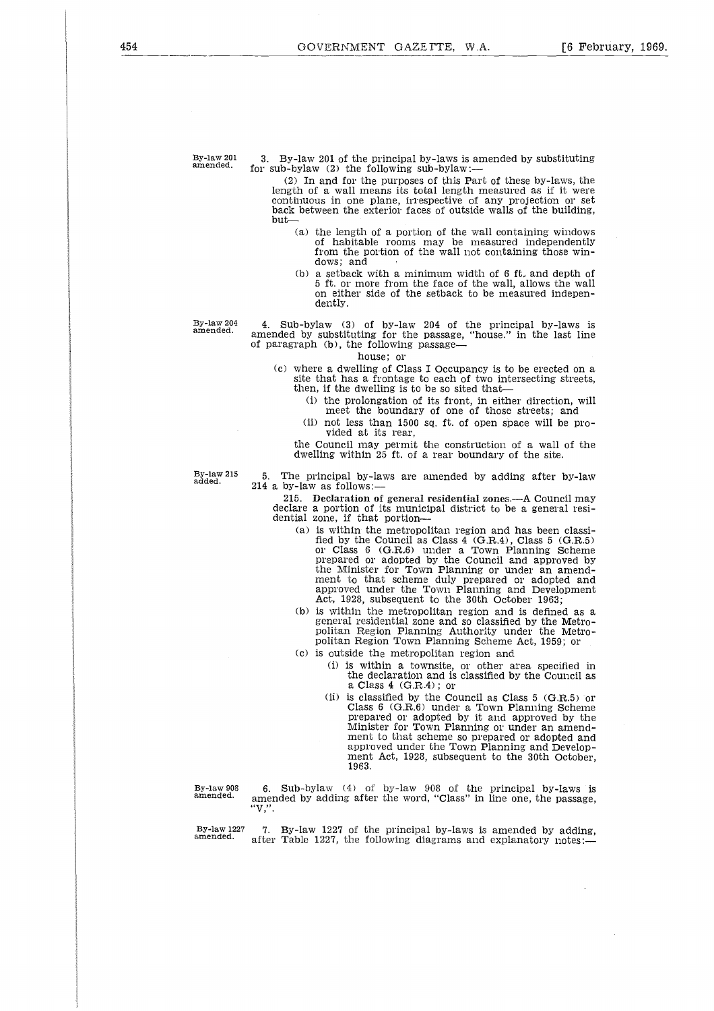By-law 201 amended.

3. By-law 201 of the principal by-laws is amended by substituting for sub-bylaw (2) the following sub-bylaw:-

(2) In and for the purposes of this Part of these by-laws, the length of a wall means its total length measured as if it were continuous in one plane, irrespective of any projection or set back between the exterior faces of outside walls of the building, but

- (a) the length of a portion of the wall containing windows of habitable rooms may be measured independently from the portion of the wall not containing those windows; and
- (b) a setback with a minimum width of 6 ft, and depth of 5 ft. or more from the face of the wall, allows the wall on either side of the setback to be measured independently.

By-law 204 amended.

4. Sub-bylaw (3) of by-law 204 of the principal by-laws is amended by substituting for the passage, "house." in the last line of paragraph (b), the following passage

house; or

- (c) where a dwelling of Class I Occupancy is to be erected on a site that has a frontage to each of two intersecting streets, then, if the dwelling is to be so sited that-
	- (i) the prolongation of its front, in either direction, will meet the boundary of one of those streets; and
	- (ii) not less than 1500 sq. ft. of open space will be provided at its rear,

the Council may permit the construction of a wall of the dwelling within 25 ft. of a rear boundary of the site.

By-law 215 added.

5. The principal by-laws are amended by adding after by-law 214 a by-law as follows:-

215. **Declaration of general residential zones.—A** Council may declare a portion of its municipal district to be a general residential zone, if that portion

- (a) is within the metropolitan region and has been classified by the Council as Class 4 (G.R.4), Class 5 (G.R.5) or Class 6 (G.R,6) under a Town Planning Scheme prepared or adopted by the Council and approved by the Minister for Town Planning or under an amendment to that scheme duly prepared or adopted and approved under the Town Planning and Development Act, 1928, subsequent to the 30th October 1963;
- (b) is within the metropolitan region and is defined as a general residential zone and so classified by the Metro-politan Region Planning Authority under the Metropolitan Region Town Planning Scheme Act, 1959; or
- (c) is outside the metropolitan region and
	- (i) is within a townsite, or other area specified in the declaration and is classified by the Council as a Class 4 (G.R.4) ; or
	- (ii) is classified by the Council as Class  $5$  (G.R.5) or Class 6 (G.R.6) under a Town Planning Scheme prepared or adopted by it and approved by the Minister for Town Planning or under an amendment to that scheme so prepared or adopted and approved under the Town Planning and Development Act, 1928, subsequent to the 30th October, 1963.

By-law 908 amended.

6. Sub-bylaw (4) of by-law 908 of the principal by-laws is amended by adding after the word, "Class" in line one, the passage,

By-law 1227 amended.

7. By-law 1227 of the principal by-laws is amended by adding, after Table 1227, the following diagrams and explanatory notes:—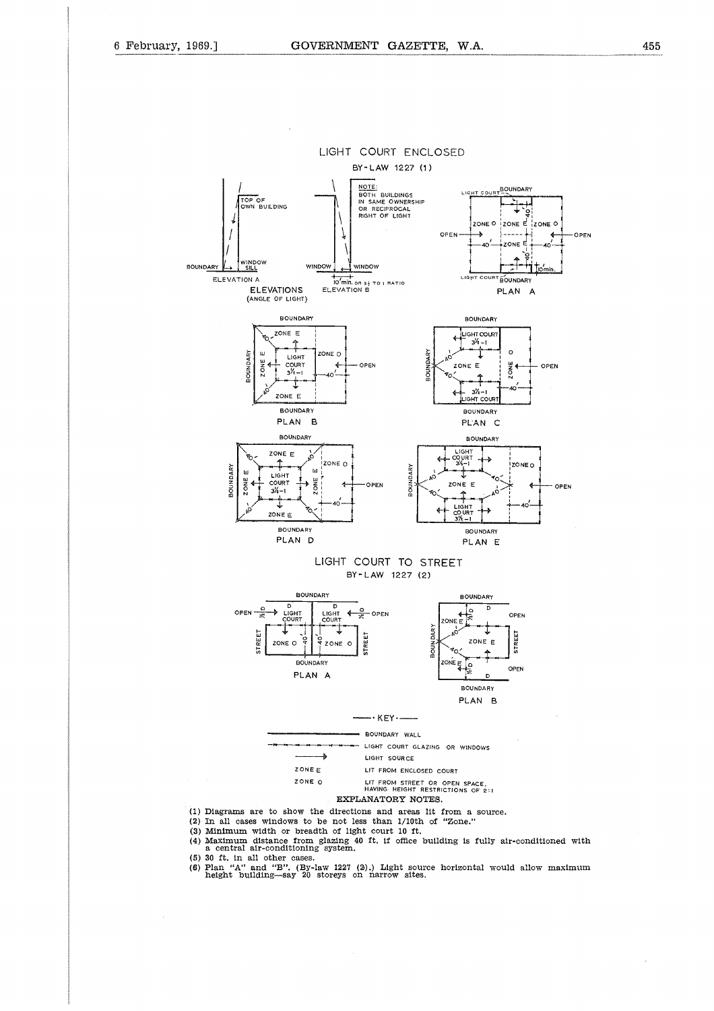

(4) Maximum distance from glazing 40 ft. if office building is fully air-conditioned with a central air-conditioning system.

(5) 30 ft. in all other cases.

(6) Plan "A" and "B". (By-law 1227 (2).) Light source horizontal would allow maximum height building—say 20 storeys on narrow sites.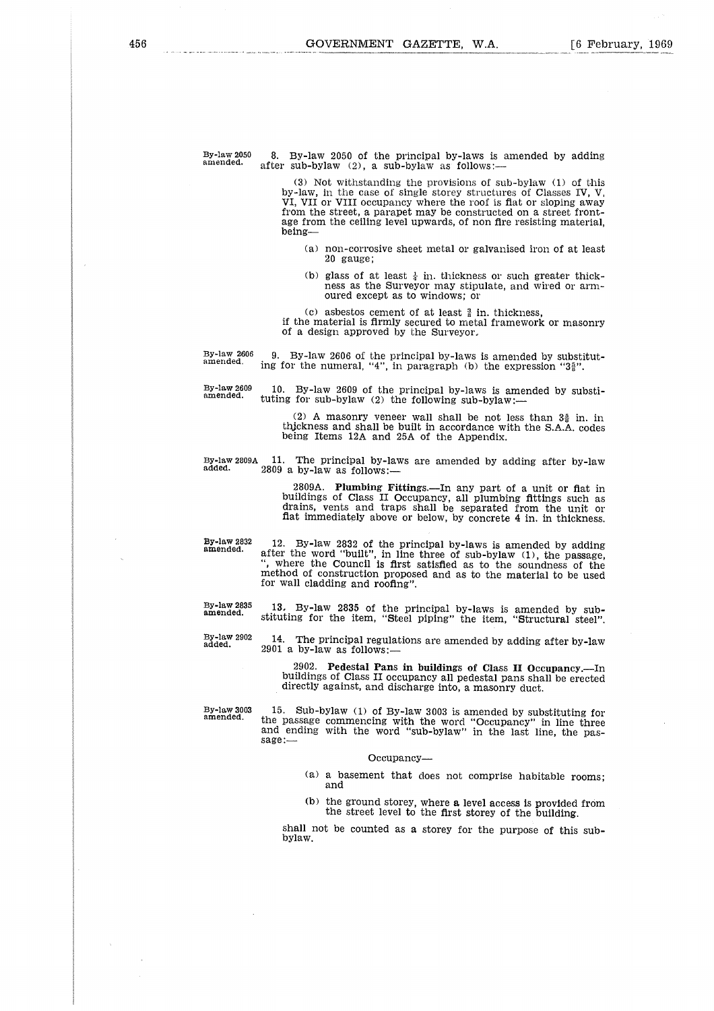By-law 2050 amended.

8. By-law 2050 of the principal by-laws is amended by adding after sub-bylaw  $(2)$ , a sub-bylaw as follows:--

(3) Not withstanding the provisions of sub-bylaw (1) of this by-law, in the case of single storey structures of Classes IV, V, VI, VII or VIII occupancy where the roof is flat or sloping away from the street, a parapet may be constructed on a street frontage from the ceiling level upwards, of non fire resisting material, being

- (a) non-corrosive sheet metal or galvanised iron of at least 20 gauge;
- (b) glass of at least  $\frac{1}{4}$  in. thickness or such greater thickness as the Surveyor may stipulate, and wired or armoured except as to windows; or

(c) asbestos cement of at least  $\frac{3}{8}$  in. thickness,<br>if the material is firmly secured to metal framework or masonry of a design approved by the Surveyor,

9. By-law 2606 of the principal by-laws is amended by substitut-

ing for the numeral, "4", in paragraph (b) the expression " $3\frac{5}{6}$ " By-law 2606 amended.

10. By-law 2609 of the principal by-laws is amended by substi-tuting for sub-bylaw (2) the following sub-bylaw:- **By-law 2609 amended.**

(2) A masonry veneer wall shall be not less than  $3\frac{5}{8}$  in. in thickness and shall be built in accordance with the S.A.A. codes being Items 12A and 25A of the Appendix.

by-law<br>amende<br>By-law<br>By-law<br>dded.

By-law 2809A 11. The principal by-laws are amended by adding after by-law<br>added. 2809 a by-law as follows:—

2809A. Plumbing Fittings.—In any part of a unit or fiat in buildings of Class II Occupancy, all plumbing fittings such as drains, vents and traps shall be separated from the unit or flat immediately above or below, by concrete 4 in. in thickness.

**By-law 2832 amended.**

12. By-law 2832 of the principal by-laws is amended by adding after the word "built", in line three of sub-bylaw (1), the passage, ", where the Council is first satisfied as to the soundness of the method of construction proposed and as to the material to be used for wall cladding and roofing".

**By-law 2835 amended.**

**By-law 2902 added.**

13. By-law 2835 of the principal by-laws is amended by substituting for the item, "Steel piping" the item, "Structural steel".

14. The principal regulations are amended by adding after by-law 2901 a by-law as follows:

2902. Pedestal Pans in buildings of Class H Occupancy.—In buildings of Class II occupancy all pedestal pans shall be erected directly against, and discharge into, a masonry duct.

By-law 2835 13. By-law 2835 of the principal by-laws is amended by sub-<br>simended. stituting for the item, "Steel piping" the item, "Structural steel"<br>By-law 2902 14. The principal regulations are amended by adding after by the passage commencing with the word "Occupancy" in line three<br>and ending with the word "sub-bylaw" in the last line, the passage:—

#### Occupancy

- (a) a basement that does not comprise habitable rooms; and
- (b) the ground storey, where a level access is provided from the street level to the first storey of the building.

shall not be counted as a storey for the purpose of this subbylaw.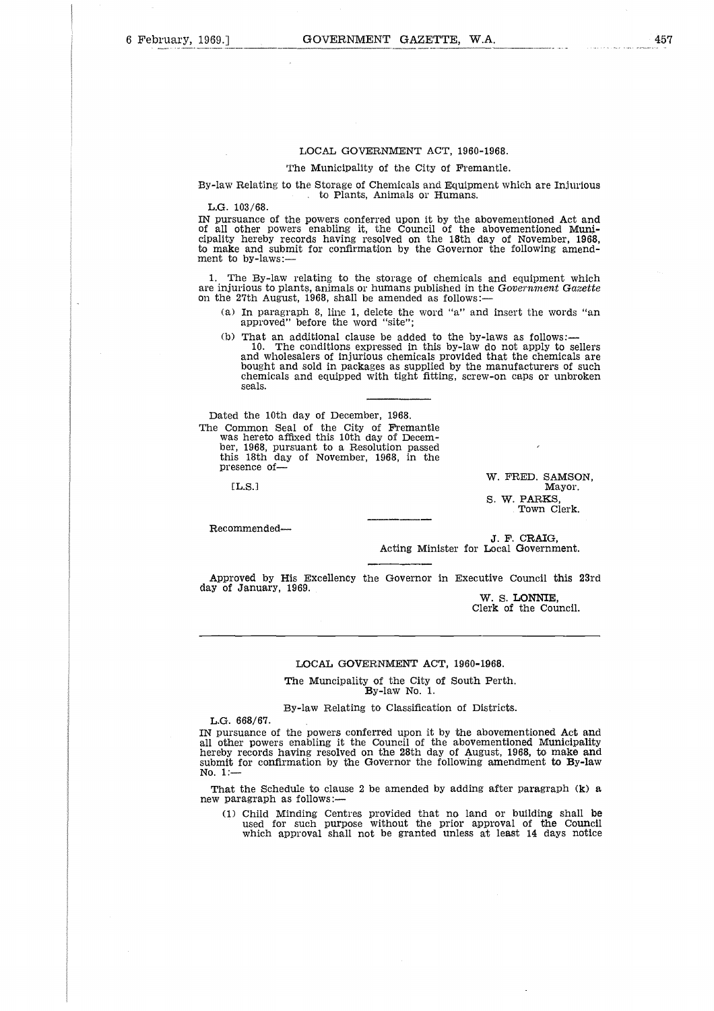#### LOCAL GOVERNMENT ACT, 1960-1968.

#### The Municipality of the City of Fremantle.

By-law Relating to the Storage of Chemicals and Equipment which are Injurious . to Plants, Animals or Humans.

L.G. 103/68.

IN pursuance of the powers conferred upon it by the abovementioned Act and of all other powers enabling it, the Council of the abovementioned Municipality hereby records having resolved on the 18th day of November, 1968, to make and submit for confirmation by the Governor the following amendment to by-laws:—

1. The By-law relating to the storage of chemicals and equipment which are injurious to plants, animals or humans published in the *Government Gazette* on the 27th August, 1968, shall be amended as follows:

- (a) In paragraph 8, line 1, delete the word "a" and insert the words "an approved" before the word "site";
- (b) That an additional clause be added to the by-laws as follows:-
- 10. The conditions expressed in this by-law do not apply to sellers and wholesalers of injurious chemicals provided that the chemicals are bought and sold in packages as supplied by the manufacturers of such chemicals and equipped with tight fitting, screw-on caps or unbroken seals. a do | gg m<br>| gg m<br>| e 32<br>| e 32

Dated the 10th day of December, 1968.

The Common Seal of the City of Fremantle was hereto affixed this 10th day of December, 1968, pursuant to a Resolution passed this 18th day of November, 1968, in the presence of-

 $[LLS.]$ 

W. FRED. SAMSON, Mayor. S. W. PARKS, Town Clerk.

Recommended

J. F. CRAIG, Acting Minister for Local Government.

Approved by His Excellency the Governor in Executive Council this 23rd day of January, 1969.

W. S. **LONNIE,** Clerk of the Council.

#### LOCAL GOVERNMENT ACT, 1960-1968.

The Muncipality of the City of South Perth. By-law No. 1.

By-law Relating to Classification of Districts.

L.G. 668/67.

IN pursuance of the powers conferred upon it by the abovementioned Act and all other powers enabling it the Council of the abovementioned Municipality hereby records having resolved on the 28th day of August, 1968, to make and submit for confirmation by the Governor the following amendment to By-law No. 1:—

That the Schedule to clause 2 be amended by adding after paragraph (k) a new paragraph as follows:

(1) Child Minding Centres provided that no land or building shall be used for such purpose without the prior approval of the Council which approval shall not be granted unless at least 14 days notice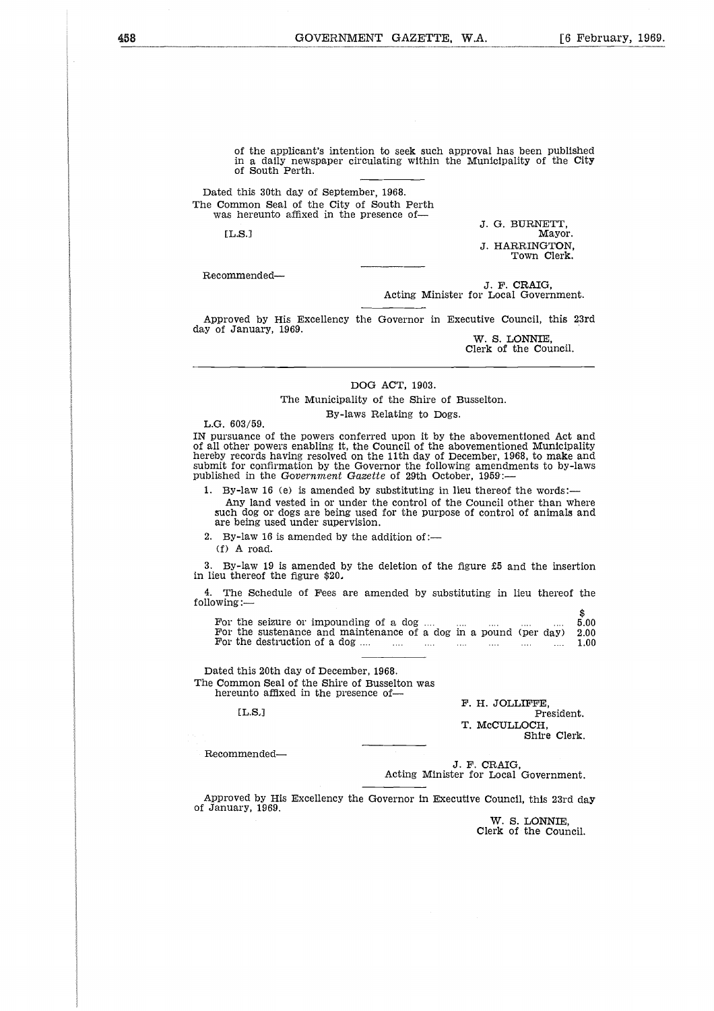of the applicant's intention to seek such approval has been published in a daily newspaper circulating within the Municipality of the City of South Perth.

Dated this 30th day of September, 1968. The Common Seal of the City of South Perth was hereunto affixed in the presence ofil<br>a<br>s<br>ce

 $\mathbf{L.S.1}$ 

J. G. BURNETT, Mayor. J. HARRINGTON, Town Clerk.

Recommended

J. F. CRAIG, Acting Minister for Local Government.

Approved by His Excellency the Governor in Executive Council, this 23rd day of January, 1969.

W. S. LONNIE, Clerk of the Council.

#### DOG ACT, 1903.

The Municipality of the Shire of Busselton. By-laws Relating to Dogs.

L.G. 603/59.

IN pursuance of the powers conferred upon it by the abovementioned Act and of all other powers enabling it, the Council of the abovementioned Municipality hereby records having resolved on the 11th day of December, 1968, to make and submit for confirmation by the Governor the following amendments to by-laws published in the *Government Gazette* of 29th October, 1959:-

1. By-law 16 (e) is amended by substituting in lieu thereof the words: Any land vested in or under the control of the Council other than where such dog or dogs are being used for the purpose of control of animals and are being used under supervision. ished in the Government Gazette of 29th October, 1959:—<br>
By-law 16 (e) is amended by substituting in lieu thereof the words:—<br>
Any law is amended in or under the control of the Council other than where<br>
series are being u For the science of a dog in a method of the destruction of which and the destruction of the control of the Council other than where<br>such dog or dogs are being used for the purpose of control of animals and<br>are being used

2. By-law 16 is amended by the addition of:—

(1) A road.

By-law 19 is amended by the deletion of the figure  $£5$  and the insertion in lieu thereof the figure \$20.

The Schedule of Fees are amended by substituting in lieu thereof the following:—

For the seizure or impounding of a dog  $\dots$   $\dots$   $\dots$   $\dots$   $\dots$   $\dots$   $\vdots$  5.00<br>For the sustenance and maintenance of a dog in a pound (per day) 2.00<br>For the destruction of a dog  $\dots$   $\dots$   $\dots$   $\dots$   $\dots$   $\dots$   $\dots$   $\vdots$  1 1:<br>Lut<br>e: 1:<br>DSB<br>Ba

Dated this 20th day of December, 1968. The Common Seal of the Shire of Busselton was hereunto affixed in the presence of-

[L.S.1

F. H. JOLLIFFE. President. T. McCULLOCH, Shire Clerk.

Recommended

J. F. CRAIG, Acting Minister for Local Government.

Approved by His Excellency the Governor in Executive Council, this 23rd day of January, 1969.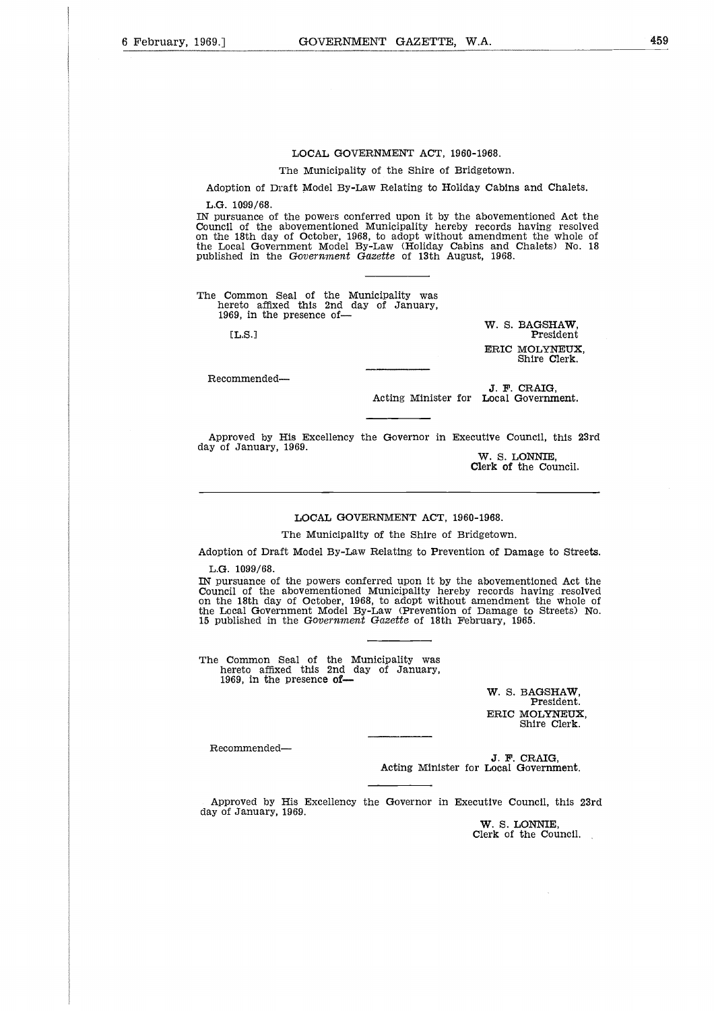#### LOCAL GOVERNMENT ACT, 1960-1968.

The Municipality of the Shire of Bridgetown.

Adoption of Draft Model By-Law Relating to Holiday Cabins and Chalets.

L.G. 1099/68.

 $\overline{a}$ 

IN pursuance of the powers conferred upon it by the abovementioned Act the Council of the abovementioned Municipality hereby records having resolved on the 18th day of October, 1968, to adopt without amendment the whole of the Local Government Model By-Law (Holiday Cabins and Chalets) No. 18 published in the *Government Gazette* of 13th August, 1968. 0 (( 2014 )<br>0 (1) 1 ( 1) 0 0 0 0<br>0 0 0 0 0 0 1

The Common Seal of the Municipality was hereto affixed this 2nd day of January, 1969, in the presence of-

[L.S.]

W. S. BAGSHAW, President ERIC MOLYNEUX, Shire Clerk.

Recommended

J. P. CRAIG, Acting Minister for Local Government.

Approved by His Excellency the Governor in Executive Council, this 23rd day of January, 1969.

W. S. LONNIE, Clerk of the Council.

#### LOCAL GOVERNMENT ACT, 1960-1968.

The Municipality of the Shire of Bridgetown.

Adoption of Draft Model By-Law Relating to Prevention of Damage to Streets.

L.G. 1099/68.

IN pursuance of the powers conferred upon it by the abovementioned Act the Council of the abovementioned Municipality hereby records having resolved on the 18th day of October, 1968, to adopt without amendment the whole of the Local Government Model By-Law (Prevention of Damage to Streets) No. 15 published in the *Government Gazette* of 18th February, 1965.

The Common Seal of the Municipality was hereto affixed this 2nd day of January, 1969, in the presence of

> W. S. BAGSHAW, President. **ERIC MOLYNEUX,** Shire Clerk.

Recommended

J. F. CRAIG, Acting Minister for Local Government.

Approved by His Excellency the Governor in Executive Council, this 23rd day of January, 1969.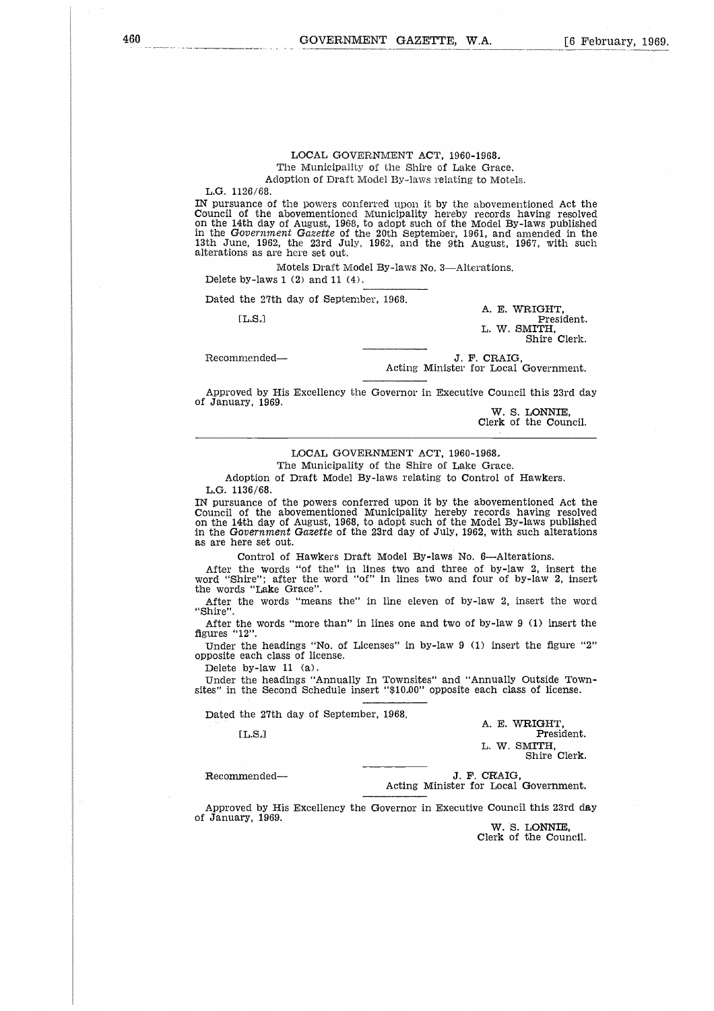#### LOCAL GOVERNMENT ACT, 1960-1968, The Municipality of the Shire of Lake Grace. Adoption of Draft Model By-laws relating to Motels.

L.G. 1126/68. IN pursuance of the powers conferred upon it by the abovementioned Act the Council of the abovementioned Municipality hereby records having resolved on the 14th day of August, 1968, to adopt such of the Model By-laws published in the *Government Gazette* of the 20th September, 1961, and amended in the 13th June, 1962, the 23rd July, 1962, and the 9th August, 1967, with such alterations as are here set out.  $\frac{28}{68}$ <br>ance (68 ance 106<br>of the dame, 196<br>e.e., 196<br>ans as a by-law<br>the 27<br>[L.S.] uncil of the abovementioned Municipality hereby records is<br>the 14th day of August, 1968, to adopt such of the Model By-<br>the Government Gazette of the 20th September, 1961, and a<br>the Government Gazette of the 20th September

Motels Draft Model By-laws No. 3—Alterations. Delete by-laws 1 (2) and 11 (4).

Dated the 27th day of September, 1968,

A. E. WRIGHT, President. L. W. SMITH, Shire Clerk.

Acting Minister for Local Government.

Approved by His Excellency the Governor in Executive Council this 23rd day of January, 1969.

W. S. LONNIE, Clerk of the Council.

## LOCAL GOVERNMENT ACT, 1960-1968,

The Municipality of the Shire of Lake Grace.

Adoption of Draft Model By-laws relating to Control of Hawkers. L.G. 1136/68.

IN pursuance of the powers conferred upon it by the abovementioned Act the Council of the abovementioned Municipality hereby records having resolved on the 14th day of August, 1968, to adopt such of the Model By-laws published in the *Government Gazette* of the 23rd day of July, 1962, with such alterations as are here set out.

Control of Hawkers Draft Model By-laws No. 6—Alterations.

After the words "of the" in lines two and three of by-law 2, insert the word "Shire"; after the word "of" in lines two and four of by-law 2, insert the words "Lake Grace".

After the words "means the" in line eleven of by-law 2, insert the word "Shire".

After the words "more than" in lines one and two of by-law 9 (1) insert the figures "12".

Under the headings "No. of Licenses" in by-law 9 (1) insert the figure "2" opposite each class of license. Exercemended—<br>
Recommended—<br>
Recommended in Excellency the Governor in Executive Council<br>
Recommended—<br>
Recommended—<br>
Recommended—<br>
Recommended—<br>
Recommended—<br>
Recommended—<br>
Recommended—<br>
Recommended—<br>
Recommended—<br>
Recomm

Delete by-law 11 (a).

Under the headings "Annually In Townsites" and "Annually Outside Townsites" in the Second Schedule insert "\$10,00" opposite each class of license.

Dated the 27th day of September, 1968.

A. **E. WRIGHT,** President. L. **W.** SMITH, Shire Clerk.

J. F. CRAIG,<br>Acting Minister for Local Government.

Approved by His Excellency the Governor in Executive Council this 23rd day of January, 1969.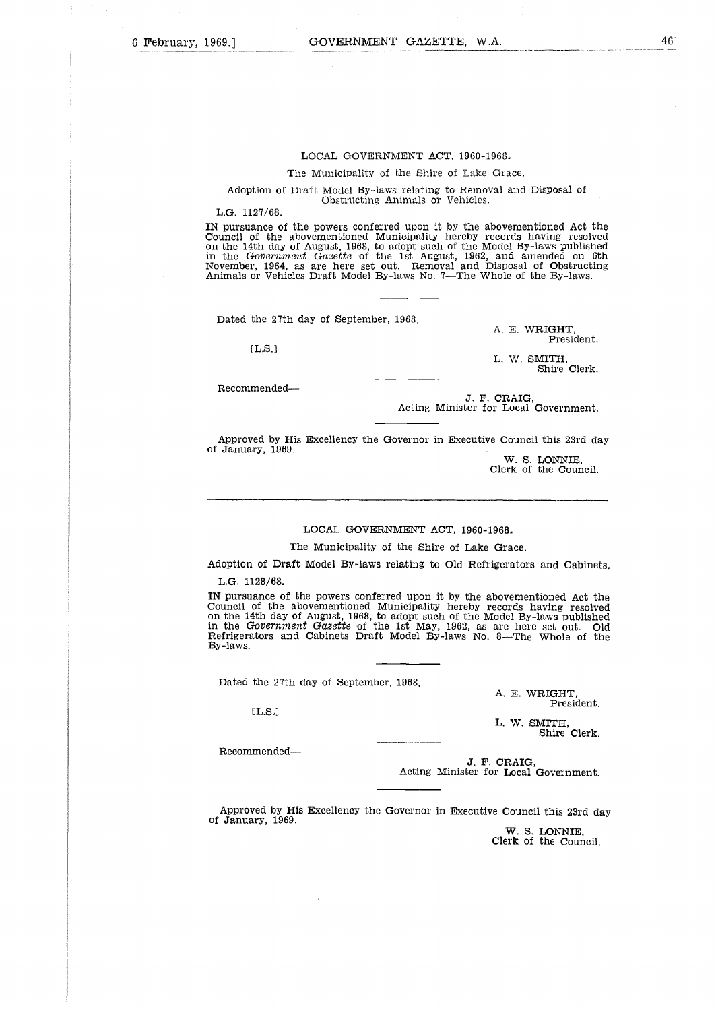#### LOCAL GOVERNMENT ACT, 1960-1968,

The Municipality of the Shire of Lake Grace.

Adoption of Draft Model By-laws relating to Removal and Disposal of Obstructing Animals or Vehicles.

L.G. 1127/68.

IN pursuance of the powers conferred upon it by the abovementioned Act the Council of the abovementioned Municipality hereby records having resolved on the 14th day of August, 1968, to adopt such of the Model By-laws published<br>in the *Government Gazette* of the 1st August, 1962, and ainended on 6th<br>November, 1964, as are here set out. Removal and Disposal of Obstructi Animals or Vehicles Draft Model By-laws No. 7—The Whole of the By-laws.

Dated the 27th day of September, 1968.

 $[LLS.]$ 

A. E. WRIGHT, President.

L. W. SMITH, Shire Clerk.

Recommended

J. F. CRAIG, Acting Minister for Local Government.

Approved by His Excellency the Governor in Executive Council this 23rd day of January, 1969.

> W. S. LONNIE, Clerk of the Council.

LOCAL GOVERNMENT ACT, 1960-1968,

The Municipality of the Shire of Lake Grace.

Adoption of Draft Model By-laws relating to Old Refrigerators and Cabinets, L.G. 1128/68.

IN pursuance of the powers conferred upon it by the abovementioned Act the Council of the abovementioned Municipality hereby records having resolved on the 14th day of August, 1968, to adopt such of the Model By-laws published<br>in the *Government Gazette* of the 1st May, 1962, as are here set out. Old<br>Refrigerators and Cabinets Draft Model By-laws No. 8—The Whole of the By-laws.

Dated the 27th day of September, 1968.

A. E. WRIGHT, President.

L. W. SMITH, Shire Clerk.

Recommended

 $[L.S.]$ 

J. F. CRAIG, Acting Minister for Local Government.

Approved by His Excellency the Governor in Executive Council this 23rd day of January, 1969.

> W. S. LONNIE, Clerk of the Council.

46: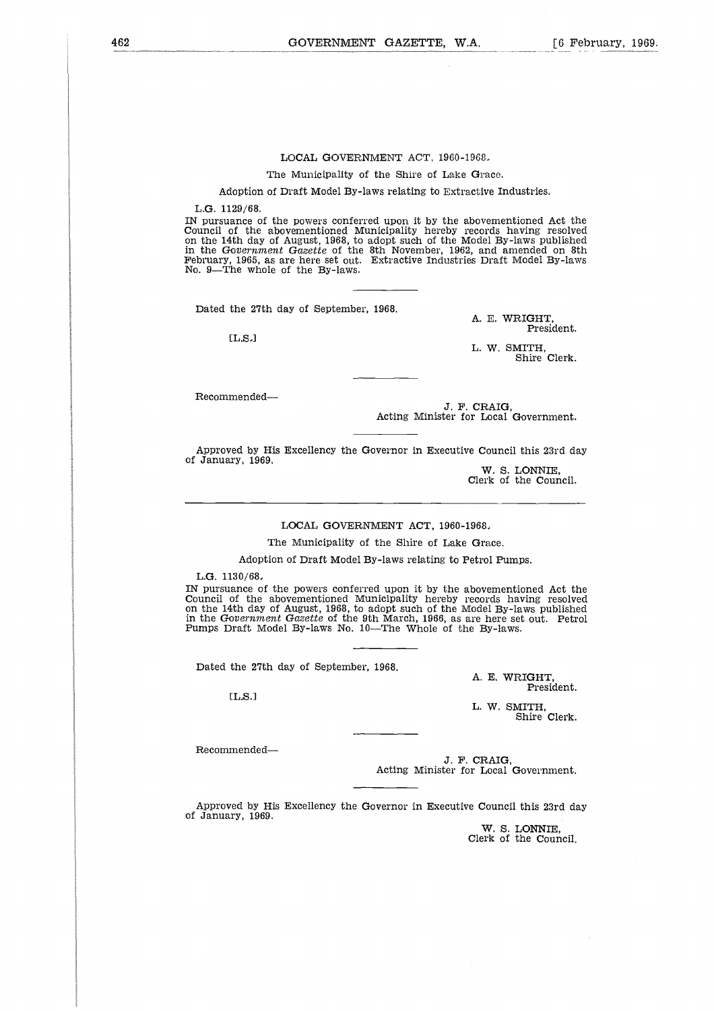#### LOCAL GOVERNMENT ACT, 1960-1968.

The Municipality of the Shire of Lake Grace.

Adoption of Draft Model By-laws relating to Extractive Industries.

L.G. 1129/68.

IN pursuance of the powers conferred upon it by the abovementioned Act the Council of the abovementioned Municipality hereby records having resolved on the 14th day of August, 1968, to adopt such of the Model By-laws published<br>in the Government Gazette of the 8th November, 1962, and amended on 8th<br>February, 1965, as are here set out. Extractive Industries Draft Model B No. 9—The whole of the By-laws.

Dated the 27th day of September, 1968.

[L.S.]

A. E. WRIGHT, President.

L. W. SMITH, Shire Clerk.

Recommended

J. F. CRAIG, Acting Minister for Local Government.

Approved by His Excellency the Governor in Executive Council this 23rd day of January, 1969.

W. S. LONNIE, Clerk of the Council.

LOCAL GOVERNMENT ACT, 1960-1968,

The Municipality of the Shire of Lake Grace.

Adoption of Draft Model By-laws relating to Petrol Pumps.

L.G. 1130/68,

IN pursuance of the powers conferred upon it by the abovementioned Act the Council of the abovementioned Municipality hereby records having resolved on the 14th day of August, 1968, to adopt such of the Model By-laws published in the *Government Gazette* of the 9th March, 1966, as are here set out. Petrol Pumps Draft Model By-laws No. 10—The Whole of the By-laws.

Dated the 27th day of September, 1968.

 $[L.S.]$ 

A. E. WRIGHT, President.

L. W. SMITH, Shire Clerk.

Recommended

J. F. CRAIG, Acting Minister for Local Government.

Approved by His Excellency the Governor in Executive Council this 23rd day of January, 1969.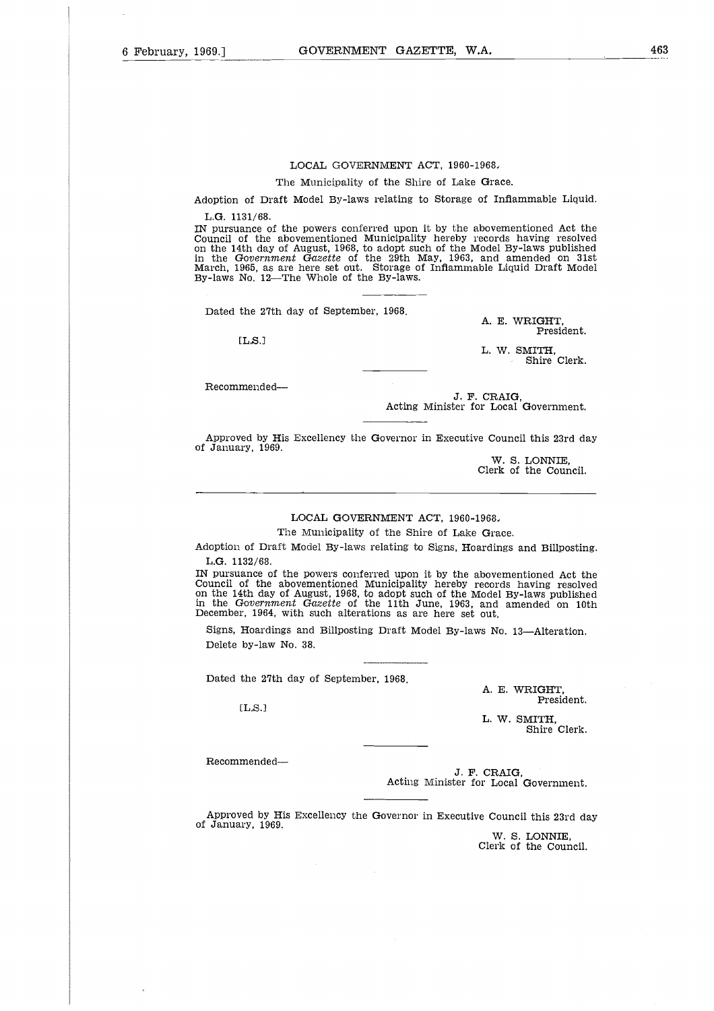#### LOCAL GOVERNMENT ACT, 1960-1968,

The Municipality of the Shire of Lake Grace.

Adoption of Draft Model By-laws relating to Storage of Inflammable Liquid. L.G. 1131/68.

IN pursuance of the powers conferred upon it by the abovementioned Act the Council of the abovementioned Municipality hereby records having resolved on the 14th day of August, 1968, to adopt such of the Model By-laws published in the *Government Gazette* of the 29th May, 1963, and amended on 31st March, 1965, as are here set out. Storage of Inflammable Liquid Draft Model By-laws No. 12—The Whole of the By-laws.

Dated the 27th day of September, 1968.

 $[L.S.]$ 

A. E. WRIGHT, President.

L. W. SMITH, Shire Clerk.

Recommended

J. F. CRAIG, Acting Minister for Local Government.

Approved by His Excellency the Governor in Executive Council this 23rd day of January, 1969.

> W. S. LONNIE, Clerk of the Council.

#### LOCAL GOVERNMENT ACT, 1960-1968,

The Municipality of the Shire of Lake Grace.

Adoption of Draft Model By-laws relating to Signs, Hoardings and Billposting. L.G. 1132/68.

IN pursuance of the powers conferred upon it by the abovementioned Act the Council of the abovementioned Municipality hereby records having resolved on the 14th day of August, 1968, to adopt such of the Model By-laws published in the *Government Gazette* of the 11th June, 1963, and amended on 10th December, 1964, with such alterations as are here set out.

Signs, Hoardings and Billposting Draft Model By-laws No. 13—Alteration. Delete by-law No. 38.

Dated the 27th day of September, 1968.

A. E. WRIGHT, President.

L. W. SMITH, Shire Clerk.

Recommended

 $[LS.]$ 

J. F. CRAIG, Acting Minister for Local Government.

Approved by His Excellency the Governor in Executive Council this 23rd day of January, 1969.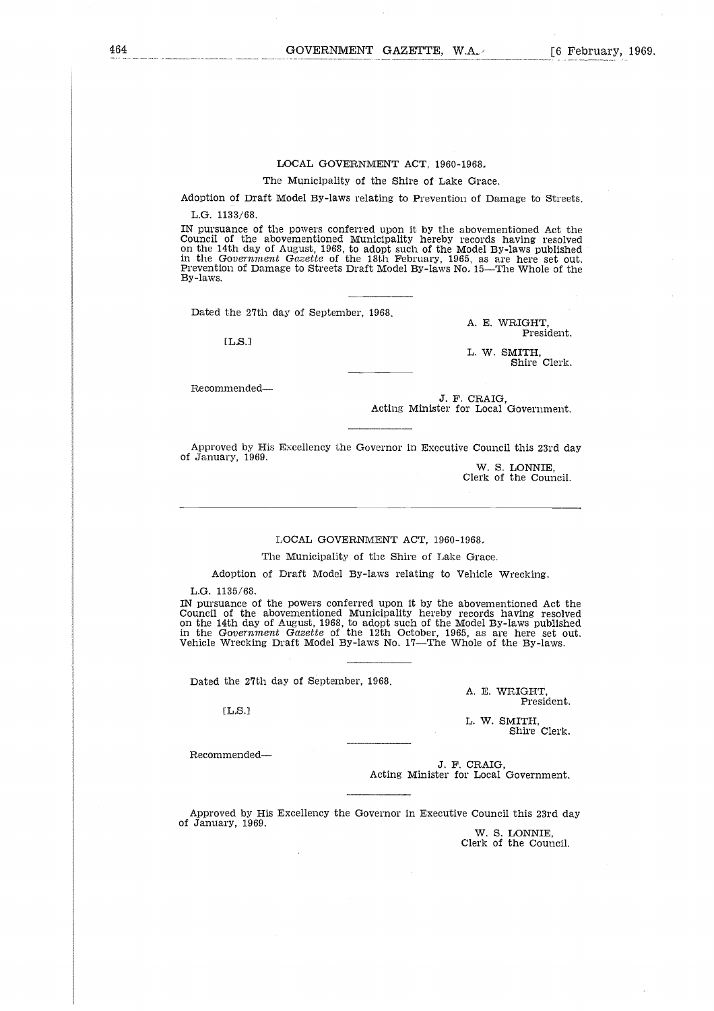## LOCAL GOVERNMENT ACT, 1960-1968,

The Municipality of the Shire of Lake Grace.

Adoption of Draft Model By-laws relating to Prevention of Damage to Streets.

L.G. 1133/68.

IN pursuance of the powers conferred upon it by the abovementioned Act the Council of the abovementioned Municipality hereby records having resolved on the 14th day of August, 1968, to adopt such of the Model By-laws published<br>in the *Government Gazette* of the 18th February, 1965, as are here set out<br>Prevention of Damage to Streets Draft Model By-laws No. 15—The Whole By-laws.

Dated the 27th day of September, 1968.

 $[LS.]$ 

A. E. WRIGHT, President.

L. W. SMITH, Shire Clerk.

Recommended

J. F. CRAIG, Acting Minister for Local Government.

Approved by His Excellency the Governor in Executive Council this 23rd day of January, 1969.

W. S. LONNIE, Clerk of the Council.

#### LOCAL GOVERNMENT ACT, 1960-1968.

The Municipality of the Shire of Lake Grace.

Adoption of Draft Model By-laws relating to Vehicle Wrecking.

L.G. 1135/68.

IN pursuance of the powers conferred upon it by the abovementioned Act the Council of the abovementioned Municipality hereby records having resolved on the 14th day of August, 1968, to adopt such of the Model By-laws published in the *Government Gazette* of the 12th October, 1965, as are here set out. Vehicle Wrecking Draft Model By-laws No. 17—The Whole of the By-laws.

Dated the 27th day of September, 1968.

[LS.]

A. E. WRIGHT, President.

L. W. SMITH, Shire Clerk.

Recommended

J. F. CRAIG, Acting Minister for Local Government.

Approved by His Excellency the Governor in Executive Council this 23rd day of January, 1969.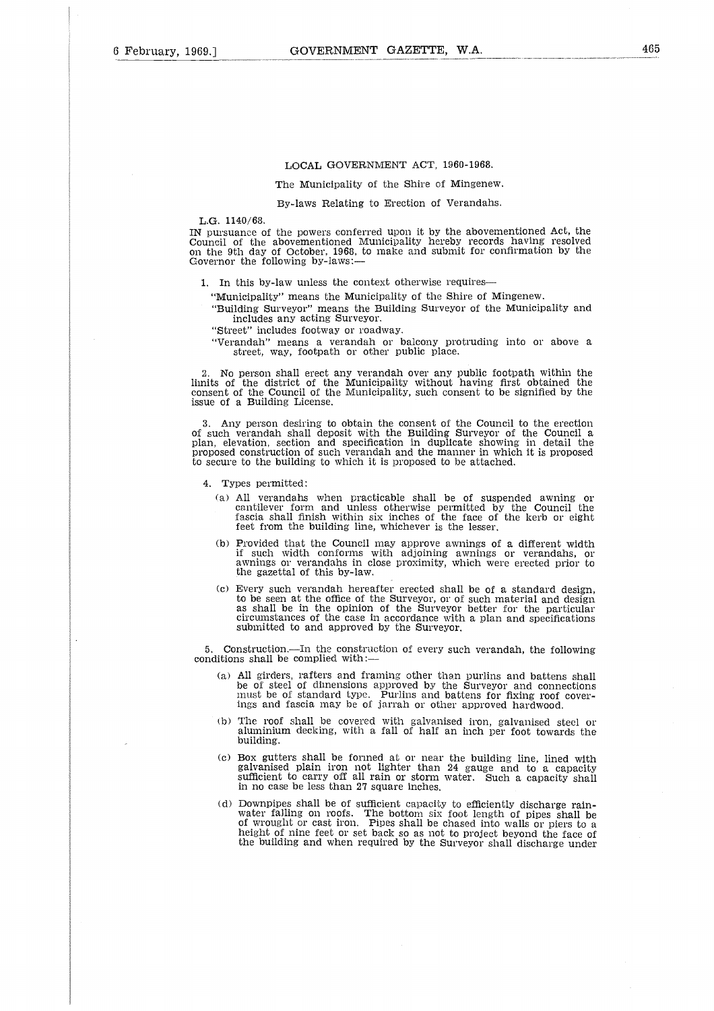#### LOCAL GOVERNMENT ACT, 1960-1968.

The Municipality of the Shire cf Mingenew.

By-laws Relating to Erection of Verandahs.

#### L.G. 1140/68.

IN pursuance of the powers conferred upon it by the abovementioned Act, the Council of the abovementioned Municipality hereby records having resolved on the 9th day of October, 1968, to make and submit for confirmation by the Governor the following by-laws:—

1. In this by-law unless the context otherwise requires

"Municipality" means the Municipality of the Shire of Mingenew.

"Building Surveyor" means the Building Surveyor of the Municipality and includes any acting Surveyor.

"Street" includes footway or roadway.

"Verandah" means a verandah or balcony protruding into or above a street, way, footpath or other public place.

2. No person shall erect any verandah over any public footpath within the limits of the district of the Municipality without having first obtained the consent of the Council of the Municipality, such consent to be signifie issue of a Building License.

3. Any person desiring to obtain the consent of the Council to the erection of such verandah shall deposit with the Building Surveyor of the Council a plan, elevation, section and specification in duplicate showing in detail the proposed construction of such verandah and the manner in which it is proposed to secure to the building to which it is proposed to be attached.

- 4. Types permitted:
	- (a) All verandahs when practicable shall be of suspended awning or cantilever form and unless otherwise permitted by the Council the fascia shall finish within six inches of the face of the kerb or eight feet from the building line, whichever is the lesser.
	- (b) Provided that the Council may approve awnings of a different width if such width conforms with adjoining awnings or verandahs, or awnings or verandahs in close proximity, which were erected prior to the gazettal of this by-law.
	- (c) Every such verandah hereafter erected shall be of a standard design, to be seen at the office of the Surveyor, or of such material and design as shall be in the opinion of the Surveyor better for the particular circumstances of the case in accordance with a plan and specifications submitted to and approved by the Surveyor.

5. Construction.—In the construction of every such verandah, the following conditions shall be complied with:

- (a) All girders, rafters and framing other than purlins and battens shall be of steel of dimensions approved by the Surveyor and connections must be of standard type. Purlins and battens for fixing roof coverings and fascia may be of jarrah or other approved hardwood.
- (b) The roof shall be covered with galvanised iron, galvanised steel or aluminium decking, with a fall of half an inch per foot towards the building.
- (c) Box gutters shall be formed at or near the building line, lined with galvanised plain iron not lighter than 24 gauge and to a capacity sufficient to carry off all rain or storm water. Such a capacity shall in no case b
- (d) Downpipes shall be of sufficient capacity to efficiently discharge rain-<br>water falling on roofs. The bottom six foot length of pipes shall be of wrought or cast iron. Pipes shall be chased into walls or piers to a height of nine feet or set back so as not to project beyond the face of the building and when required by the Surveyor shall discharge under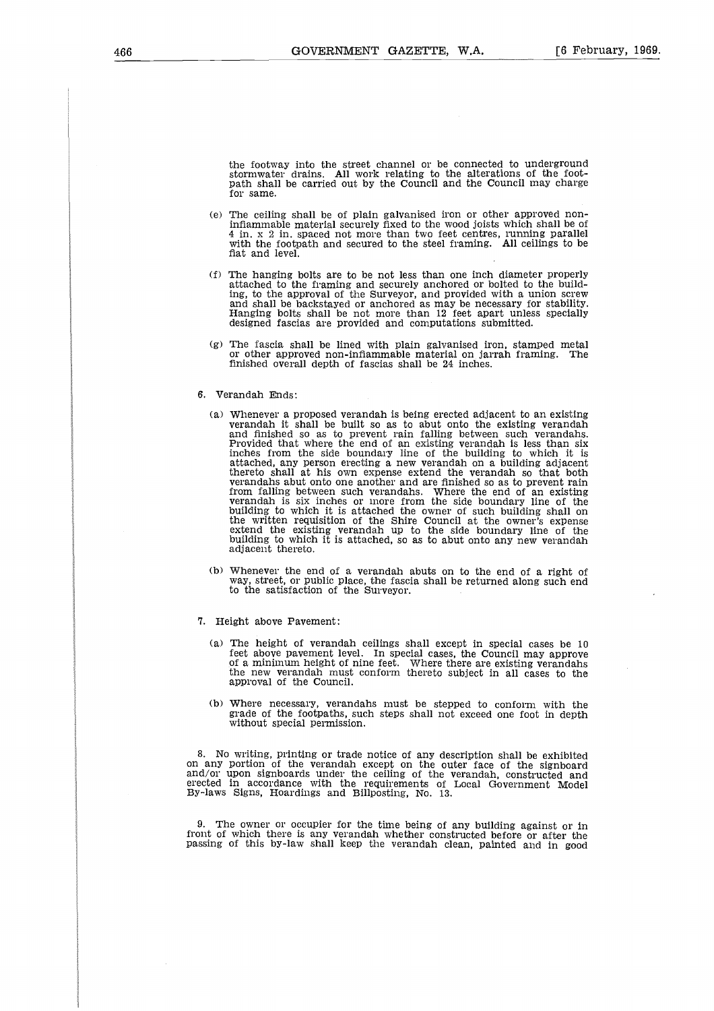the footway into the street channel or be connected to underground stormwater drains. All work relating to the alterations of the foot-path shall be carried out by the Council and the Council may charge for same.

- (e) The ceiling shall be of plain galvanised iron or other approved noninflammable material securely fixed to the wood joists which shall be of 4 in. x 2 in. spaced not more than two feet centres, running parallel with the footpath and secured to the steel framing. All ceilings to be flat and level.
- (f) The hanging bolts are to be not less than one inch diameter properly attached to the framing and securely anchored or bolted to the building, to the approval of the Surveyor, and provided with a union screw and shall be backstayed or anchored as may be necessary for stability. Hanging bolts shall be not more than 12 feet apart unless specially designed fascias are provided and computations submitted.
- (g) The fascia shall be lined with plain galvanised iron, stamped metal or other approved non-inflammable material on jarrah framing. The finished overall depth of fascias shall be 24 inches.

#### 6. Verandah Ends:

- (a) Whenever a proposed verandah is being erected adjacent to an existing verandah it shall be built so as to abut onto the existing verandah and finished so as to prevent rain falling between such verandahs.<br>Provided that where the end of an existing verandah is less than six<br>inches from the si from falling between such verandahs. Where the end of an existing verandah is six inches or more from the side boundary line of the building to which it is attached the owner of such building shall on the written requisition of the Shire Council at the owner's expense extend the existing verandah up to the side boundary line of the building to which it is attached, so as to abut onto any new verandah adjacent thereto.
- (b) Whenever the end of a verandah abuts on to the end of a right of way, street, or public place, the fascia shall be returned along such end to the satisfaction of the Surveyor.
- 7. Height above Pavement:
	- (a) The height of verandah ceilings shall except in special cases be 10 feet above pavement level. In special cases, the Council may approve of a minimum height of nine feet. Where there are existing verandahs the new verandah must conform thereto subject in all cases to the approval of the Council.
	- (b) Where necessary, verandahs must be stepped to conform with the grade of the footpaths, such steps shall not exceed one foot in depth without special permission.

8. No writing, printing or trade notice of any description shall be exhibited on any portion of the verandah except on the outer face of the signboard<br>and/or upon signboards under the ceiling of the verandah, constructed and<br>erected in accordance with the requirements of Local Government Model<br>By-la

9. The owner or occupier for the time being of any building against or in front of which there is any verandah whether constructed before or after the passing of this by-law shall keep the verandah clean, painted and in good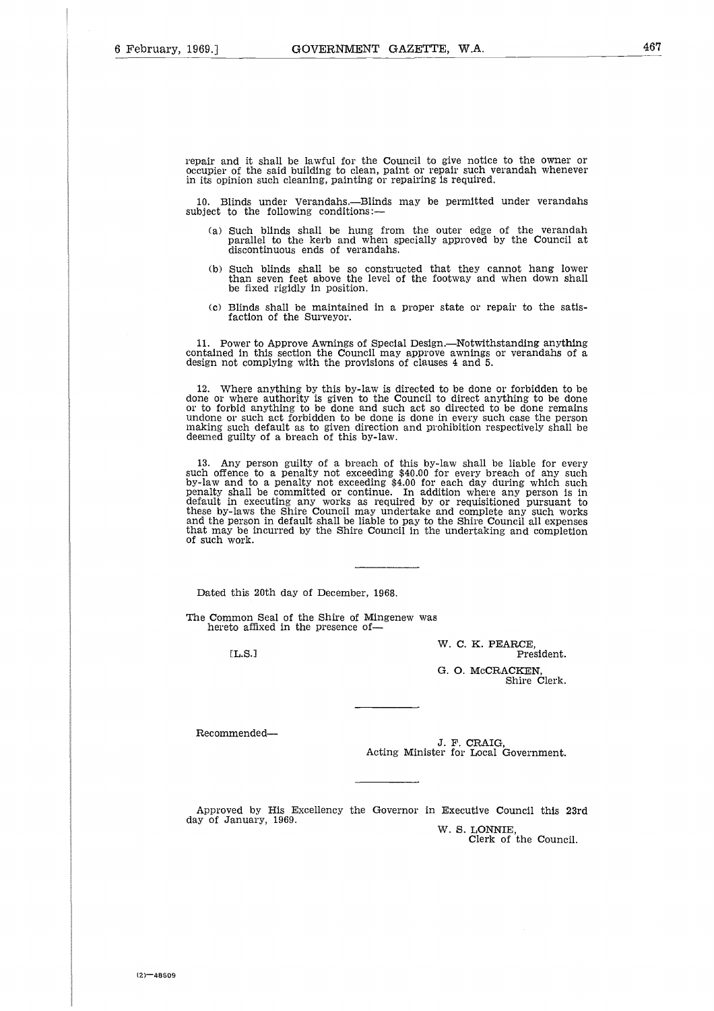repair and it shall be lawful for the Council to give notice to the owner or occupier of the said building to clean, paint or repair such verandah whenever in its opinion such cleaning, painting or repairing is required.

10. Blinds under Verandahs.—Blinds may be permitted under verandahs subject to the following conditions:

- (a) Such blinds shall be hung from the outer edge of the verandah parallel to the kerb and when specially approved by the Council at discontinuous ends of verandahs.
- (b) Such blinds shall be so constructed that they cannot hang lower than seven feet above the level of the footway and when down shall be fixed rigidly in position.
- (c) Blinds shall be maintained in a proper state or repair to the satisfaction of the Surveyor.

11. Power to Approve Awnings of Special Design.—Notwithstanding anything contained in this section the Council may approve awnings or verandahs of a design not complying with the provisions of clauses 4 and 5.

12. Where anything by this by-law is directed to be done or forbidden to be done or where authority is given to the Council to direct anything to be done or to forbid anything to be done and such act so directed to be done remains undone or such act forbidden to be done is done in every such case the person making such default as to given direction and prohibition respectively shall be deemed guilty of a breach of this by-law.

13. Any person guilty of a breach of this by-law shall be liable for every such offence to a penalty not exceeding \$40.00 for every breach of any such by-law and to a penalty not exceeding \$4.00 for each day during which such penalty shall be committed or continue. In addition where any person is in default in executing any works as required by or requisitioned pursuant to these by-laws the Shire Council may undertake and complete any such works<br>and the person in default shall be liable to pay to the Shire Council all expenses<br>that may be incurred by the Shire Council in the undertaking and of such work. er<br>n<br>l<br>l<br>l

Dated this 20th day of December, 1968.

The Common Seal of the Shire of Mingenew was hereto affixed in the presence of--

[L.S.]

W. C. K. PEARCE, President. G. 0. McCRACKEN, Shire Clerk.

Recommended

J. F. CRAIG, Acting Minister for Local Government.

Approved by His Excellency the Governor in Executive Council this 23rd day of January, 1969. W. S. LONNIE,

Clerk of the Council.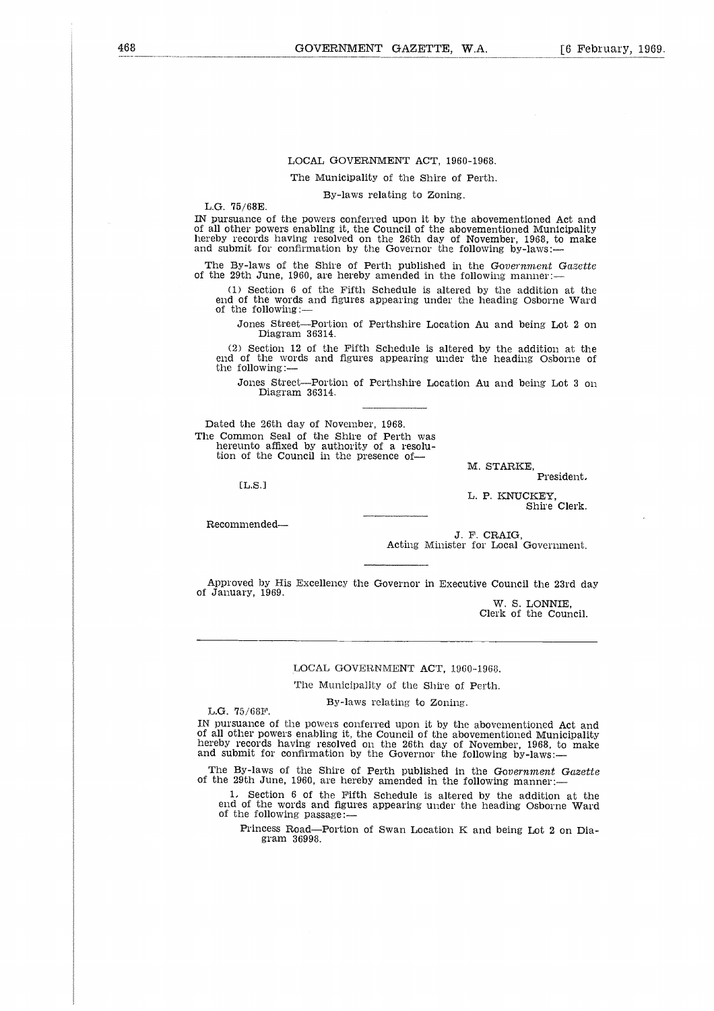#### LOCAL GOVERNMENT ACT, 1960-1968.

The Municipality of the Shire of Perth.

By-laws relating to Zoning.

L.G. 75/68E.

IN pursuance of the powers conferred upon it by the abovementioned Act and of all other powers enabling it, the Council of the abovementioned Municipality hereby records having resolved on the 26th day of November, 1968, to make and submit for confirmation by the Governor the following by-laws:

The By-laws of the Shire of Perth published in the *Government Gazette* of the 29th June, 1960, are hereby amended in the following manner:

Section 6 of the Fifth Schedule is altered by the addition at the end of the words and figures appearing under the heading Osborne Ward of the following:

Jones Street—Portion of Perthshire Location Au and being Lot 2 on Diagram 36314.

(2) Section 12 of the Fifth Schedule is altered by the addition at the end of the words and figures appearing under the heading Osborne of the following:

Jones Street—Portion of Perthshire Location Au and being Lot 3 on Diagram 36314.

Dated the 26th day of November, 1968. The Common Seal of the Shire of Perth was hereunto affixed by authority of a resolu-tion of the Council in the presence of-

[L.S.I

M. STARKE, President,

L. P. KNUCKEY, Shire Clerk.

Recommended

J. F. CRAIG, Acting Minister for Local Government.

Approved by His Excellency the Governor in Executive Council the 23rd day of January, 1969.

> W. S. LONNIE, Clerk of the Council.

LOCAL GOVERNMENT ACT, 1960-1966.

The Municipality of the Shire of Perth.

By-laws relating to Zoning.

L.G. 75/68F.

IN pursuance of the powers conferred upon it by the abovementioned Act and of all other powers enabling it, the Council of the abovementioned Municipality hereby records having resolved on the 26th day of November, 1968, to make and submit for confirmation by the Governor the following by-laws:

The By-laws of the Shire of Perth published in the *Government Gazette* of the 29th June, 1960, are hereby amended in the following manner:—

1, Section 6 of the Fifth Schedule is altered by the addition at the end of the words and figures appearing under the heading Osborne Ward of the following passage:

Princess Road—Portion of Swan Location K and being Lot 2 on Diagram 36998.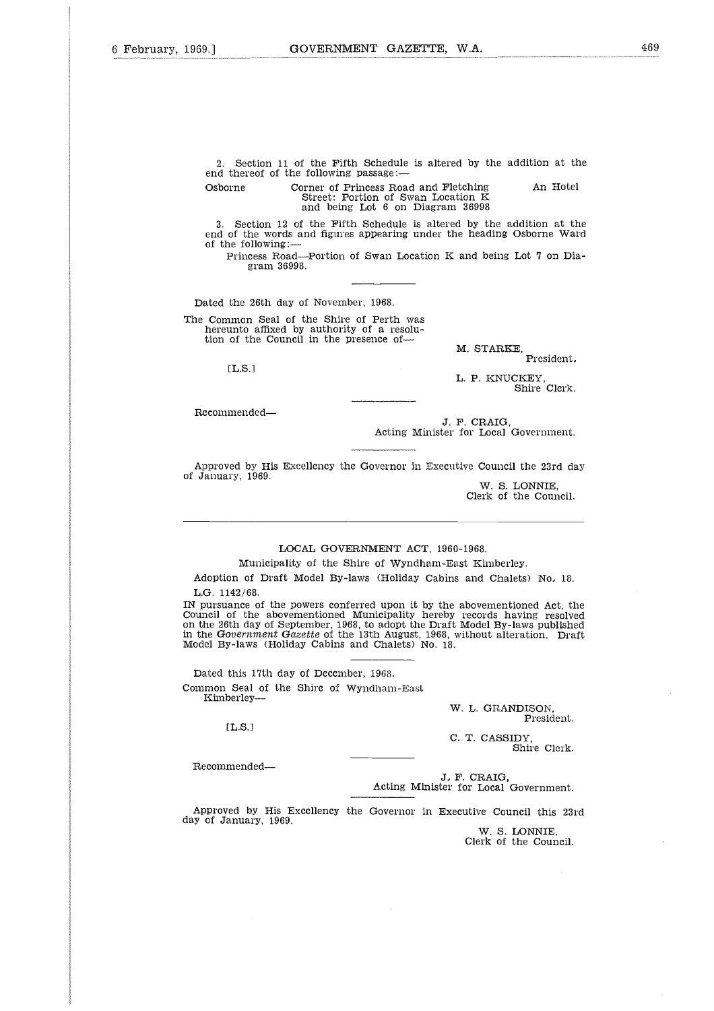2. Section 11 of the Fifth Schedule is altered by the addition at the end thereof of the following passage: COVERNMENT GAZETTE, W.A.<br>
2. Section 11 of the Fifth Schedule is altered by the addition at the<br>
end thereof of the following passage:—<br>
Osborne Corner of Princess Road and Fletching An Hotel<br>
Street: Portion of Swan Loca

Street: Portion of Swan Location K and being Lot 6 on Diagram 36998

3. Section 12 of the Fifth Schedule is altered by the addition at the end of the words and figures appearing under the heading Osborne Ward of the following:

Princess Road—Portion of Swan Location K and being Lot 7 on Diagram 36998.

Dated the 26th day of November, 1968.

The Common Seal of the Shire of Perth was hereunto affixed by authority of a resolu-tion of the Council in the presence of-

M. STARKE,

President,

L. P. KNUCKEY, Shire Clerk.

Recommended

EL.S.1

J. F. CRAIG, Acting Minister for Local Government.

Approved by His Excellency the Governor in Executive Council the 23rd day of January, 1969.

W. S. LONNIE, Clerk of the Council.

## LOCAL GOVERNMENT ACT, 1960-1968.

Municipality of the Shire of Wyndham-East Kimberley.

Adoption of Draft Model By-laws (Holiday Cabins and Chalets) No, 18. L.G. 1142/68.

IN pursuance of the powers conferred upon it by the abovementioned Act, the Council of the abovementioned Municipality hereby records having resolved on the 26th day of September, 1968, to adopt the Draft Model By-laws published in the *Government Gazette* of the 13th August, 1968, without alteration. Draft Model By-laws (Holiday Cabins and Chalets) No. 18.

Dated this 17th day of December, 1968. Common Seal of the Shire of Wyndham-East Kimberley-

CL.S.i

W. L. GRANDISON, President.

C. T. CASSIDY, Shire Clerk.

Recommended

J, F. CRAIG, Acting Minister for Local Government.

Approved by His Excellency the Governor in Executive Council this 23rd day of January, 1969.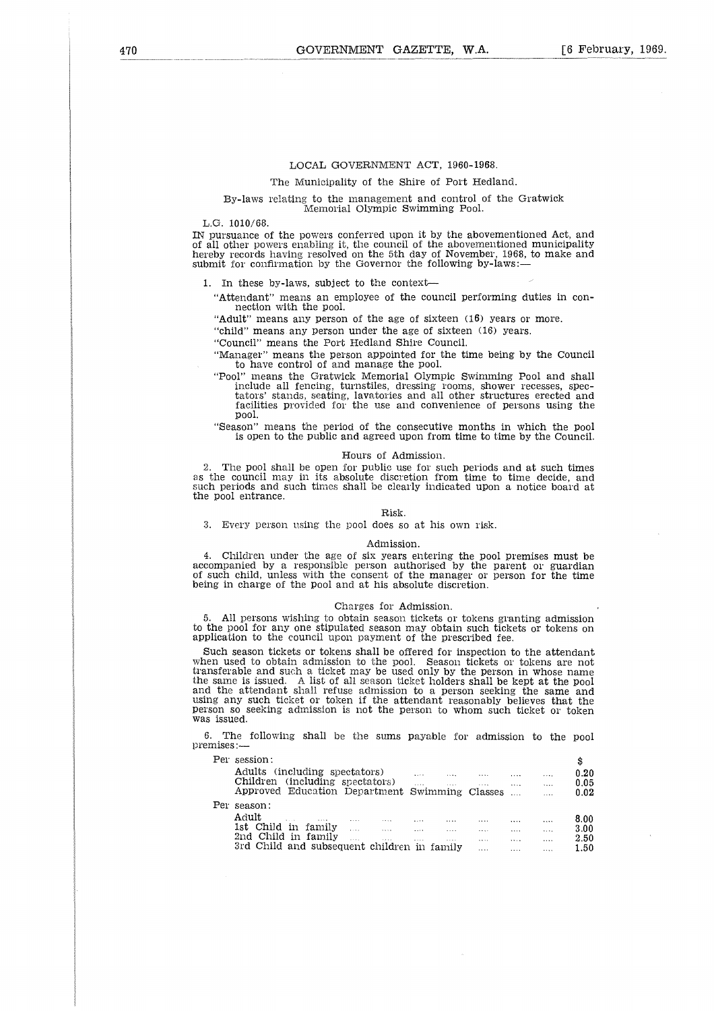#### LOCAL GOVERNMENT ACT, 1960-1968.

The Municipality of the Shire of Port Hedland.

#### By-laws relating to the management and control of the Gratwick Memorial Olympic Swimming Pool.

L.G. 1010/68.

IN pursuance of the powers conferred upon it by the abovementioned Act, and of all other powers enabling it, the council of the abovementioned municipality hereby records having resolved on the 5th day of November, 1968, to make and submit for confirmation by the Governor the following by-laws:-

1. In these by-laws, subject to the context

"Attendant" means an employee of the council performing duties in connection with the pool.

"Adult" means any person of the age of sixteen (16) years or more.

"child" means any person under the age of sixteen (16) years.

"Council" means the Port Hedland Shire Council.

"Manager" means the person appointed for the time being by the Council to have control of and manage the pool.

- "Pool" means the Gratwick Memorial Olympic Swimming Pool and shall include all fencing, turnstiles, dressing rooms, shower recesses, spectators' stands, seating, lavatories and all other structures erected and facilities provided for the use and convenience of persons using the pool.
- "Season" means the period of the consecutive months in which the pool is open to the public and agreed upon from time to time by the Council.

#### Hours of Admission.

2. The pool shall be open for public use for such periods and at such times as the council may in its absolute discretion from time to time decide, and such periods and such times shall be clearly indicated upon a notice board at the pool entrance.

#### Risk.

3. Every person using the pool does so at his own risk.

#### Admission.

4. Children under the age of six years entering the pool premises must be accompanied by a responsible person authorised by the parent or guardian of such child, unless with the consent of the manager or person for the time being in charge of the pool and at his absolute discretion.

#### Charges for Admission.

5. All persons wishing to obtain season tickets or tokens granting admission to the pool for any one stipulated season may obtain such tickets or tokens on application to the council upon payment of the prescribed fee.

Such season tickets or tokens shall be offered for inspection to the attendant when used to obtain admission to the pool. Season tickets or tokens are not transferable and such a ticket may be used only by the person in whose name the same is issued. A list of all season ticket holders shall be kept at the pool and the attendant shall refuse admission to a person seeking the same and using any such ticket or token if the attendant reasonably believes that the person so seeking admission is not the person to whom such ticket or token was issued. All persons wishing to obtain season tickets or tokens granting admissine pool for any one stipulated season may obtain such tickets or tokens is<br>cation to the council upon payment of the prescribed fee.<br>
the asson ticket ool for any one stipulated season may obtain such tickets or tokens on<br>on to the council upon payment of the prescribed fee.<br>eason tickets or tokens and ed to obtain admission to the pool. Season tickets or tokens are not<br> eason tickets or tokens shall be offered for inspection to the attendant<br>ed to obtain admission to the pool. Season tickets or tokens are not<br>ble and such a ticket may be used only by the person in whose name<br>is issued. A

6. The following shall be the sums payable for admission to the pool premises:—

| issued.  |                      | sferable and such a ticket may be used only by the person in whose name<br>same is issued. A list of all season ticket holders shall be kept at the pool<br>the attendant shall refuse admission to a person seeking the same and<br>g any such ticket or token if the attendant reasonably believes that the<br>on so seeking admission is not the person to whom such ticket or token |  |  |                                            |                                                       |                                              |                                           |
|----------|----------------------|-----------------------------------------------------------------------------------------------------------------------------------------------------------------------------------------------------------------------------------------------------------------------------------------------------------------------------------------------------------------------------------------|--|--|--------------------------------------------|-------------------------------------------------------|----------------------------------------------|-------------------------------------------|
| ises : — |                      | The following shall be the sums payable for admission to the pool                                                                                                                                                                                                                                                                                                                       |  |  |                                            |                                                       |                                              |                                           |
|          | Per session:         | Adults (including spectators) and the contract of the set of the set of the set of the set of the set of the set of the set of the set of the set of the set of the set of the set of the set of the set of the set of the set<br>Children (including spectators)<br>Approved Education Department Swimming Classes                                                                     |  |  | $\mathbf{1}$ , $\mathbf{1}$ , $\mathbf{1}$ | $\cdots$                                              | $\cdots$                                     | \$<br>0.20<br>0.05<br>0.02                |
|          | Per season:<br>Adult | المتحدث المتحدث المتدفع المناطق والمناطق والمناطق والمناطق<br>1st Child in family<br>2nd Child in family the contract of the contract of the contract of the contract of the contract of the contract of the contract of the contract of the contract of the contract of the contract of the contract of the contra<br>3rd Child and subsequent children in family                      |  |  | $\sim$<br>and the state                    | <b>Save College</b><br><b>Association</b><br>$\cdots$ | $\cdots$<br>$\cdots$<br>$\cdots$<br>$\cdots$ | 8.00<br>3.00 <sub>1</sub><br>2.50<br>1.50 |
|          |                      |                                                                                                                                                                                                                                                                                                                                                                                         |  |  |                                            |                                                       |                                              |                                           |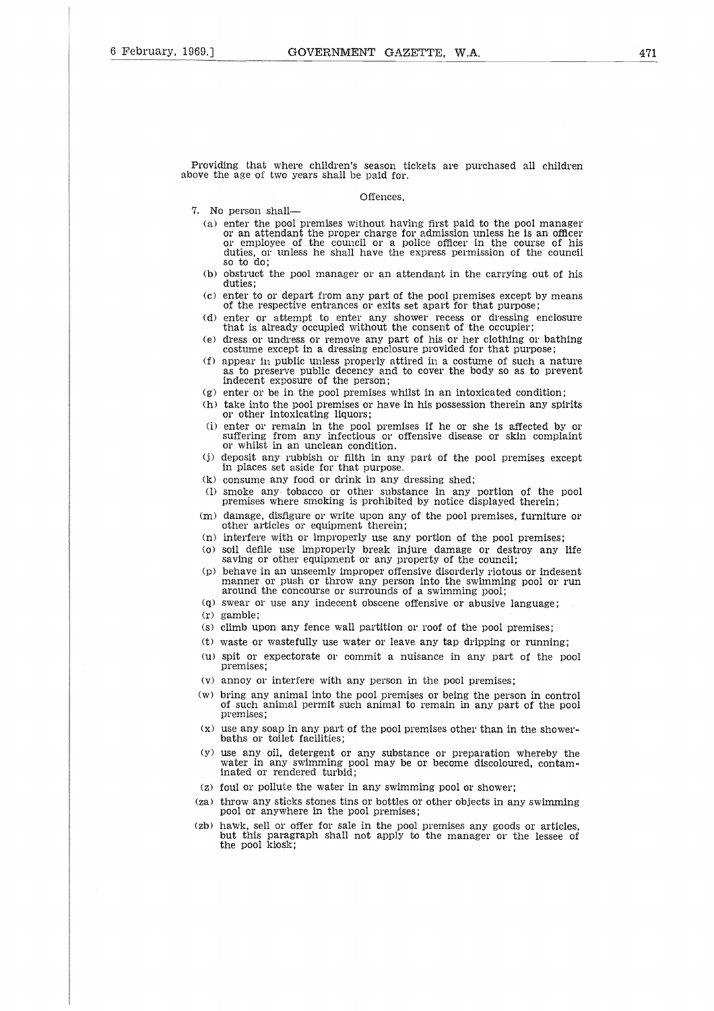Providing that where children's season tickets are purchased all children above the age of two years shall be paid for.

#### Offences.

- 7. No person shall
	- (a) enter the pool premises without having first paid to the pool manager or an attendant the proper charge for admission unless he is an officer or employee of the council or a police officer in the course of his duties, or unless he shall have the express permission of the council so to do;
	- (b) obstruct the pool manager or an attendant in the carrying out of his duties;
	- (c) enter to or depart from any part of the pool premises except by means of the respective entrances or exits set apart for that purpose;
	- (d) enter or attempt to enter any shower recess or dressing enclosure that is already occupied without the consent of the occupier;
	- (e) dress or undress or remove any part of his or her clothing or bathing costume except in a dressing enclosure provided for that purpose;
	- (f) appear in public unless properly attired in a costume of such a nature as to preserve public decency and to cover the body so as to prevent indecent exposure of the person;
	- (g) enter or be in the pool premises whilst in an intoxicated condition;
	- (h) take into the pool premises or have in his possession therein any spirits or other intoxicating liquors;
	- (i) enter or remain in the pool premises if he or she is affected by or suffering from any infectious or offensive disease or skin complaint or whilst in an unclean condition.
	- (j) deposit any rubbish or filth in any part of the pool premises except in places set aside for that purpose.
	- (k) consume any food or drink in any dressing shed;
	- (1) smoke any tobacco or other substance in any portion of the pool premises where smoking is prohibited by notice displayed therein;
	- (m) damage, disfigure or write upon any of the pool premises, furniture or other articles or equipment therein;
	- (n) interfere with or improperly use any portion of the pool premises;
	- (o) soil defile use improperly break injure damage or destroy any life saving or other equipment or any property of the council;
	- (p) behave in an unseemly improper offensive disorderly riotous or indesent manner or push or throw any person into the swimming pool or run around the concourse or surrounds of a swimming pool;
	- (q) swear or use any indecent obscene offensive or abusive language; (r) gamble;
	-
	- (s) climb upon any fence wall partition or roof of the pool premises;
	- (t) waste or wastefully use water or leave any tap dripping or running;
	- (u) spit or expectorate or commit a nuisance in any part of the pool premises;
	- (v) annoy or interfere with any person in the pool premises;
	- (w) bring any animal into the pool premises or being the person in control of such animal permit such animal to remain in any part of the pool premises;
	- (x) use any soap in any part of the pool premises other than in the showerbaths or toilet facilities;
	- (y) use any oil, detergent or any substance or preparation whereby the water in any swimming pool may be or become discoloured, contam-inated or rendered turbid;
	- (z) foul or pollute the water in any swimming pool or shower;
- (za) throw any sticks stones tins or bottles or other objects in any swimming pool or anywhere in the pool premises;
- (zb) hawk, sell or offer for sale in the pool premises any goods or articles<br>but this paragraph shall not apply to the manager or the lessee of<br>the pool kiosk;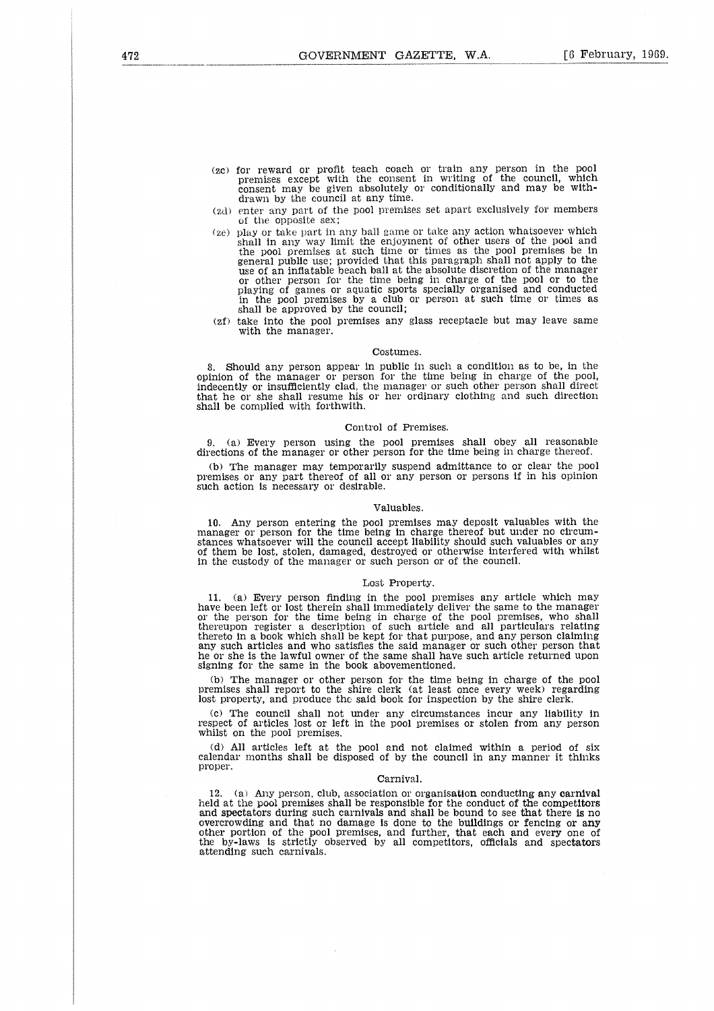- (ze) for reward or profit teach coach or train any person in the poo premises except with the consent in writing of the council, which consent may be given absolutely or conditionally and may be withdrawn by the council at any time.
- (zd) enter any part of the pool premises set apart exclusively for members of the opposite sex;
- (ze) play or take part in any ball game or take any action whatsoever which shall in any way limit the enjoyment of other users of the pool and the pool premises at such time or times as the pool premises be in general public use; provided that this paragraph shall not apply to the use of an inflatable beach ball at the absolute discretion of the manager or other person for the time being in charge of the pool or to the playing of games or aquatic sports specially organised and conducted in the pool premises by a club or person at such time or times as shall be approved by the council;
- (zf) take into the pool premises any glass receptacle but may leave same with the manager.

#### Costumes.

8. Should any person appear in public in such a condition as to be, in the opinion of the manager or person for the time being in charge of the pool, indecently or insufficiently clad, the manager or such other person shall direc that he or she shall resume his or her ordinary clothing and such direction shall be complied with forthwith.

#### Control of Premises.

9. (a) Every person using the pool premises shall obey all reasonable directions of the manager or other person for the time being in charge thereof.

(b) The manager may temporarily suspend admittance to or clear the pool premises or any part thereof of all or any person or persons if in his opinion such action is necessary or desirable.

#### Valuables.

10. Any person entering the pool premises may deposit valuables with the manager or person for the time being in charge thereof but under no circumstances whatsoever will the council accept liability should such valuables or any of them be lost, stolen, damaged, destroyed or otherwise interfered with whilst in the custody of the manager or such person or of the council.

#### Lost Property.

11. (a) Every person finding in the pool premises any article which may have been left or lost therein shall immediately deliver the same to the manager or the person for the time being in charge of the pool premises, who shall thereupon register a description of such article and all particulars relating thereto in a book which shall be kept for that purpose, and any person claiming any such articles and who satisfies the said manager or such other person that he or she is the lawful owner of the same shall have such article returned upon signing for the same in the book abovementioned.

(b) The manager or other person for the time being in charge of the pool premises shall report to the shire clerk (at least once every week) regarding lost property, and produce the said book for inspection by the shire clerk.

(c) The council shall not under any circumstances incur any liability in respect of articles lost or left in the pool premises or stolen from any person whilst on the pool premises.

(d) All articles left at the pool and not claimed within a period of six calendar months shall be disposed of by the council in any manner it thinks proper.

#### Carnival.

12.  $\,$  (a) Any person, club, association or organisation conducting any carnival held at the pool premises shall be responsible for the conduct of the competitors and spectators during such carnivals and shall be bound to see that there is no overcrowding and that no damage is done to the buildings or fencing or  $\operatorname{any}$ other portion of the pool premises, and further, that each and every one of the by-laws is strictly observed by all competitors, officials and spectators attending such carnivals.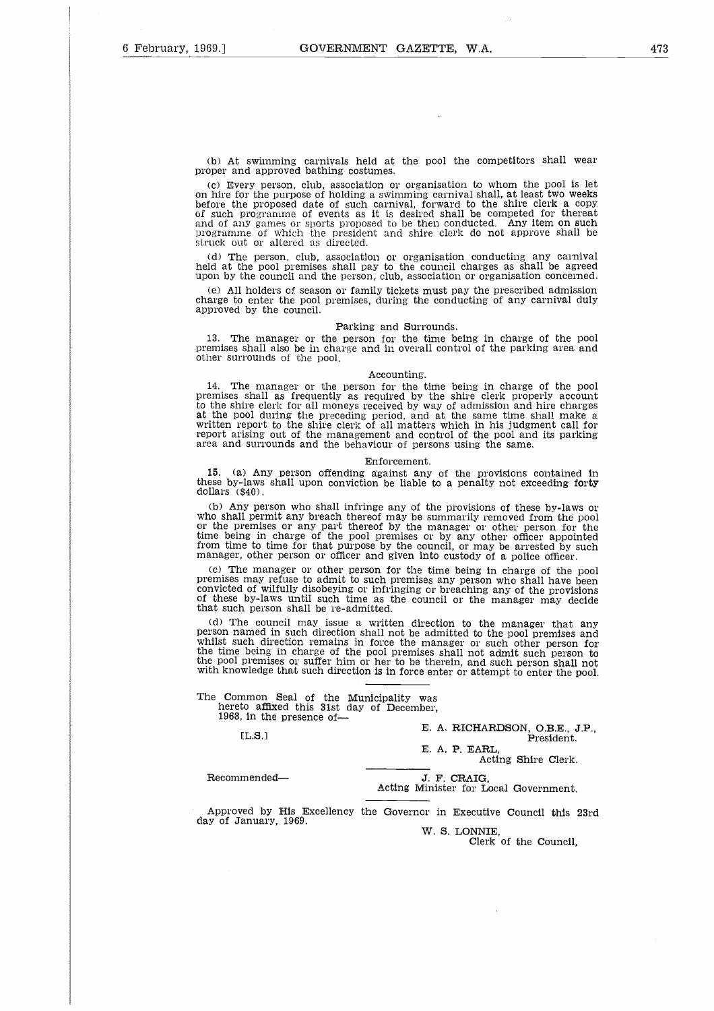(b) At swimming carnivals held at the pool the competitors shall wear proper and approved bathing costumes.

(c) Every person, club, association or organisation to whom the pool is let on hire for the purpose of holding a swimming carnival shall, at least two weeks before the proposed date of such carnival, forward to the shire clerk a copy of such programme of events as it is desired shall be competed for thereat and of any games or sports proposed to be then conducted. Any item on such Programme of which the president and shire clerk do not approve shall be struck out or altered as directed.

(d) The person, club, association or organisation conducting any carniva held at the pool premises shall pay to the council charges as shall be agreed upon by the council and the person, club, association or organisation concerned.

All holders of season or family tickets must pay the prescribed admission charge to enter the pool premises, during the conducting of any carnival duly approved by the council.

#### Parking and Surrounds.

13. The manager or the person for the time being in charge of the pool premises shall also be in charge and in overall control of the parking area and other surrounds of the pool.

#### Accounting.

14. The manager or the person for the time being in charge of the poo premises shall as frequently as required by the shire clerk properly account<br>to the shire clerk for all moneys received by way of admission and hire charges<br>at the pool during the preceding period, and at the same time sha written report to the shire clerk of all matters which in his judgment call for report arising out of the management and control of the pool and its parking area and surrounds and the behaviour of persons using the same.

#### Enforcement.

15. (a) Any person offending against any of the provisions contained in these by-laws shall upon conviction be liable to a penalty not exceeding forty dollars (\$40).

(b) Any person who shall infringe any of the provisions of these by-laws or<br>who shall permit any breach thereof may be summarily removed from the pool<br>or the premises or any part thereof by the manager or other person for time being in charge of the pool premises or by any other officer appointed from time to time for that purpose by the council, or may be arrested by such manager, other person or officer and given into custody of a police officer.

(c) The manager or other person for the time being in charge of the pool premises may refuse to admit to such premises any person who shall have been convicted of wilfully disobeying or infringing or breaching any of the provisions of these by-laws until such time as the council or the manager may decide that such person shall be re-admitted.

(d) The council may issue a written direction to the manager that any person named in such direction shall not be admitted to the pool premises and whilst such direction remains in force the manager or such other person for the time being in charge of the pool premises shall not admit such person to the pool premises or suffer him or her to be therein, and such person shall not with knowledge that such direction is in force enter or attempt to enter the pool. From named in such direction shall not be admitted to indist such direction remains in force the manager or  $\epsilon$  the pool premises or suffer him or her to be therein, and<br>e jool premises or suffer him or her to be therein

The Common Seal of the Municipality was hereto affixed this 31st day of December, 1968, in the presence of

 $[L.S.]$ 

E. A. **RICHARDSON, O.B.E., J.P., President.**

Acting Shire Clerk.

E. A. P. EARL,

J. F. CRAIG,<br>Acting Minister for Local Government.

Approved by **His** Excellency the Governor in Executive Council this 23rd day of January, 1969.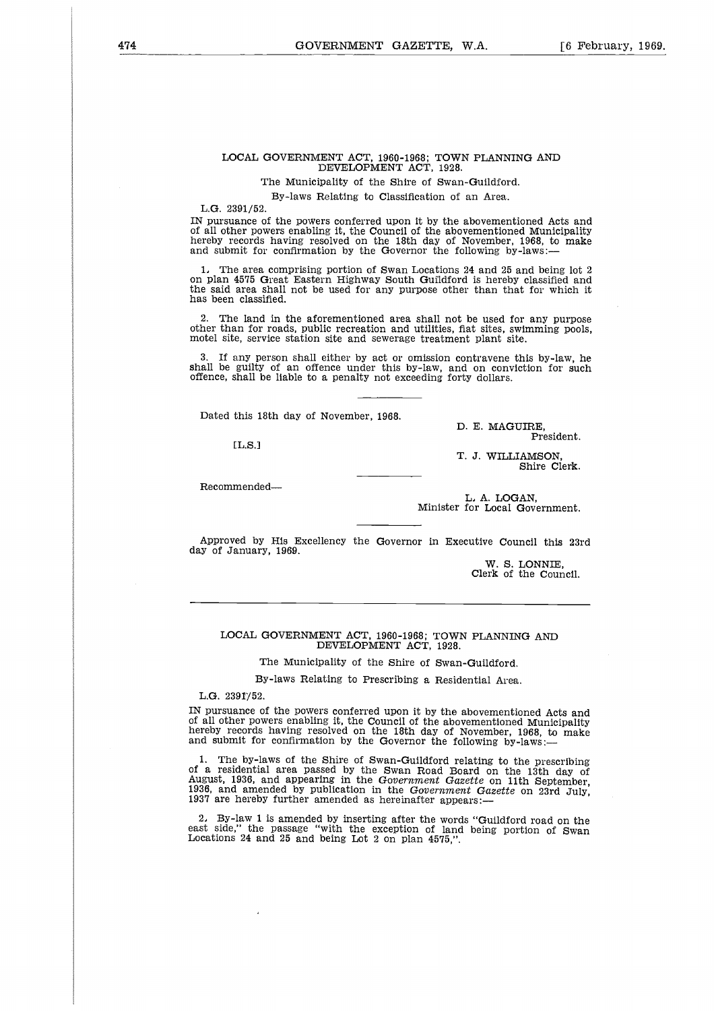#### LOCAL GOVERNMENT ACT, 1960-1968; TOWN PLANNING ANI DEVELOPMENT ACT, 1928.

The Municipality of the Shire of Swan-Guildford.

By-laws Relating to Classification of an Area.

L.G. 2391/52.

IN pursuance of the powers conferred upon it by the abovementioned Acts and of all other powers enabling it, the Council of the abovementioned Municipality hereby records having resolved on the 18th day of November, 1968, to make and submit for confirmation by the Governor the following by-laws:-

The area comprising portion of Swan Locations 24 and 25 and being lot 2 on plan 4575 Great Eastern Highway South Guildford is hereby classified and the said area shall not be used for any purpose other than that for which it has been classified.

2. The land in the aforementioned area shall not be used for any purpose other than for roads, public recreation and utilities, flat sites, swimming pools, motel site, service station site and sewerage treatment plant site.

3. If any person shall either by act or omission contravene this by-law, he shall be guilty of an offence under this by-law, and on conviction for such offence, shall be liable to a penalty not exceeding forty dollars.

Dated this 18th day of November, 1968.

 $TLS.1$ 

D. E. MAGUIRE, President.

T. J. WILLIAMSON, Shire Clerk.

Recommended

L, A. LOGAN, Minister for Local Government.

Approved by His Excellency the Governor in Executive Council this 23rd day of January, 1969.

> W. S. LONNIE, Clerk of the Council.

#### LOCAL GOVERNMENT ACT, 1960-1968; TOWN PLANNING AND DEVELOPMENT ACT, 1928.

The Municipality of the Shire of Swan-Guildford.

By-laws Relating to Prescribing a Residential Area.

 $L$ G. 23917/52.

IN pursuance of the powers conferred upon it by the abovementioned Acts and of all other powers enabling it, the Council of the abovementioned Municipality hereby records having resolved on the 18th day of November, 1968, to make and submit for confirmation by the Governor the following by-laws:-

1. The by-laws of the Shire of Swan-Guildford relating to the prescribing of a residential area passed by the Swan Road Board on the 13th day of August, 1936, and appearing in the *Government Gazette* on 11th September, 1936, and amended by publication in the *Government Gazette* on 23rd July, 1937 are hereby further amended as hereinafter appears:-

2, By-law 1 is amended by inserting after the words "Guildford road on the east side," the passage "with the exception of land being portion of Swan Locations 24 and 25 and being Lot 2 on plan 4575,".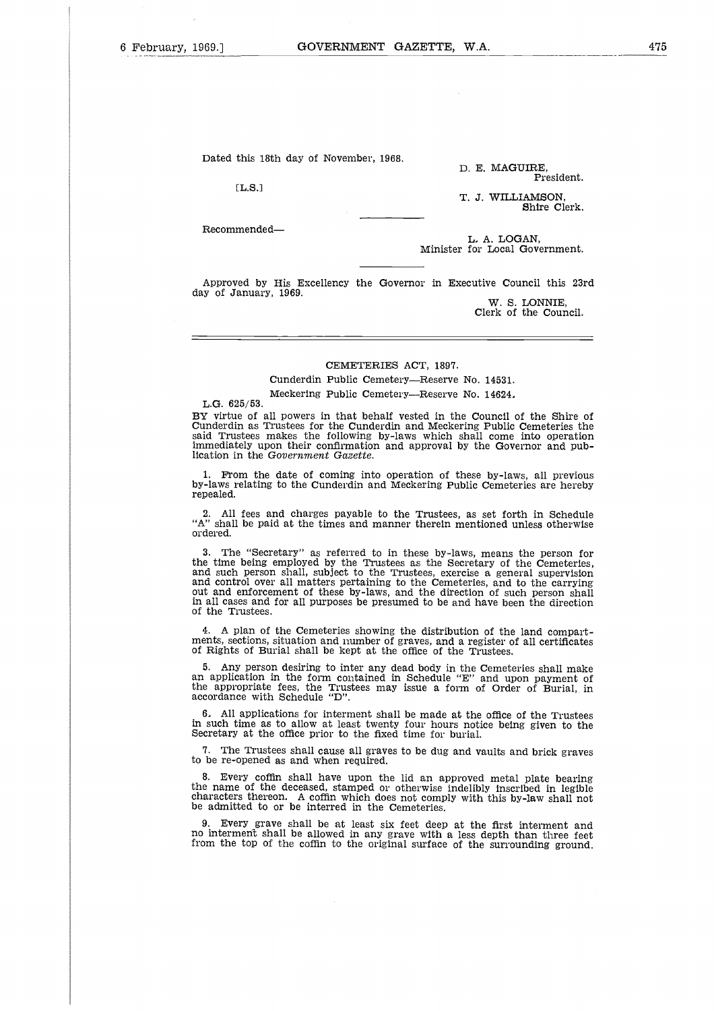Dated this 18th day of November,1968.

 $[L.S.]$ 

Recommended

D. E. MAGUIRE, President.

T. J. WILLIAMSON, Shire Clerk.

L, A. LOGAN, Minister for Local Government.

Approved by His Excellency the Governor in Executive Council this 23rd day of January, 1969. W. S. LONNIE,

Clerk of the Council.

## CEMETERIES ACT, 1897.

Cunderdin Public Cemetery—Reserve No. 14531. Meckering Public Cemetery—Reserve No. 14624,

#### L.G. 625/53.

BY virtue of all powers in that behalf vested in the Council of the Shire of Cunderdin as Trustees for the Cunderdin and Meckering Public Cemeteries the said Trustees makes the following by-laws which shall come into operation immediately upon their confirmation and approval by the Governor and publication in the *Government Gazette.*

1. From the date of coming into operation of these by-laws, all previous by-laws relating to the Cunderdin and Meckering Public Cemeteries are hereby repealed.

2. All fees and charges payable to the Trustees, as set forth in Schedule "A" shall be paid at the times and manner therein mentioned unless otherwise ordered.

The "Secretary" as referred to in these by-laws, means the person for the time being employed by the Trustees as the Secretary of the Cemeteries, and such person shall, subject to the Trustees, exercise a general supervision and control over all matters pertaining to the Cemeteries, and to the carrying out and enforcement of these by-laws, and the direction of such person shall in all cases and for all purposes be presumed to be and have been the direction of the Trustees.

4. A plan of the Cemeteries showing the distribution of the land compartments, sections, situation and number of graves, and a register of all certificates of Rights of Burial shall be kept at the office of the Trustees.

5. Any person desiring to inter any dead body in the Cemeteries shall make an application in the form contained in Schedule "E" and upon payment of the appropriate fees, the Trustees may issue a form of Order of Burial, in accordance with Schedule "D".

6, All applications for interment shall be made at the office of the Trustees in such time as to allow at least twenty four hours notice being given to the Secretary at the office prior to the fixed time for burial.

The Trustees shall cause all graves to be dug and vaults and brick graves to be re-opened as and when required.

8. Every coffin shall have upon the lid an approved metal plate bearing the name of the deceased, stamped or otherwise indelibly inscribed in legible characters thereon. A coffin which does not comply with this by-law shall not<br>be admitted to or be interred in the Cemeteries.

9. Every grave shall be at least six feet deep at the first interment and no interment shall be allowed in any grave with a less depth than three feet from the top of the coffin to the original surface of the surrounding ground.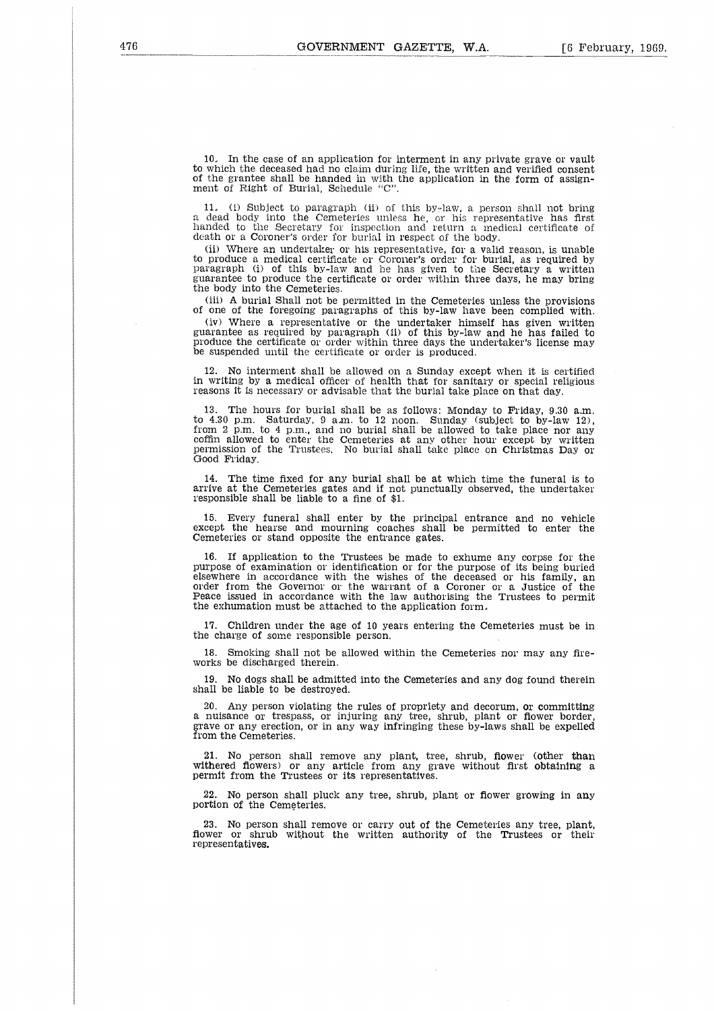10. In the case of an application for interment in any private grave or vault to which the deceased had no claim during life, the written and verified consent of the grantee shall be handed in with the application in the form of assign-ment of Right of Burial, Schedule "C".

11. (1) Subject to paragraph (ii) of this by-law, a person shall not bring a dead body into the Cemeteries unless he, or his representative has first handed to the Secretary for inspection and return a medical certificate of death or a Coroner's order for burial in respect of the body.

(ii) Where an undertaker or his representative, for a valid reason, is unable<br>to produce a medical certificate or Coroner's order for burial, as required by<br>paragraph (i) of this by-law and he has given to the Secretary a guarantee to produce the certificate or order within three days, he may bring the body into the Cemeteries.

(iii) A burial Shall not be permitted in the Cemeteries unless the provisions of one of the foregoing paragraphs of this by-law have been complied with. (iv) Where a representative or the undertaker himself has given written guarantee as required by paragraph (ii) of this by-law and he has failed to produce the certificate or order within three days the undertaker's license may be suspended until the certificate or order is produced.

12. No interment shall be allowed on a Sunday except when it is certified in writing by a medical officer of health that for sanitary or special religious reasons it is necessary or advisable that the burial take place on that day.

13. The hours for burial shall be as follows: Monday to Friday, 9.30 a.m. to 4.30 p.m. Saturday, 9 a.m. to 12 noon. Sunday (subject to by-law 12), from 2 p.m. to 4 p.m., and no burial shall he allowed to take place nor any coffin allowed to enter the Cemeteries at any other hour except by written permission of the Trustees. No burial shall take place on Christmas Day o Good Friday.

14. The time fixed for any burial shall be at which time the funeral is to arrive at the Cemeteries gates and if not punctually observed, the undertaker responsible shall be liable to a fine of \$1.

15. Every funeral shall enter by the principal entrance and no vehicle except the hearse and mourning coaches shall be permitted to enter the Cemeteries or stand opposite the entrance gates.

16. If application to the Trustees be made to exhume any corpse for the purpose of examination or identification or for the purpose of its being buried elsewhere in accordance with the wishes of the deceased or his family, an order from the Governor or the warrant of a Coroner or a Justice of the Peace issued in accordance with the law authorising the Trustees to permit the exhumation must be attached to the application form,

17. Children under the age of 10 years entering the Cemeteries must be in the charge of some responsible person.

18. Smoking shall not be allowed within the Cemeteries nor may any fireworks be discharged therein.

19. No dogs shall be admitted into the Cemeteries and any dog found therein shall be liable to be destroyed.

20. Any person violating the rules of propriety and decorum, or committing a nuisance or trespass, or injuring any tree, shrub, plant or flower border, grave or any erection, or in any way infringing these by-laws shall be expelled from the Cemeteries.

21. No person shall remove any plant, tree, shrub, flower (other than withered flowers) or any article from any grave without first obtaining a permit from the Trustees or its representatives.

No person shall pluck any tree, shrub, plant or flower growing in any portion of the Cemeteries.

23. No person shall remove or carry out of the Cemeteries any tree, plant, flower or shrub without the written authority of the Trustees or their representatives.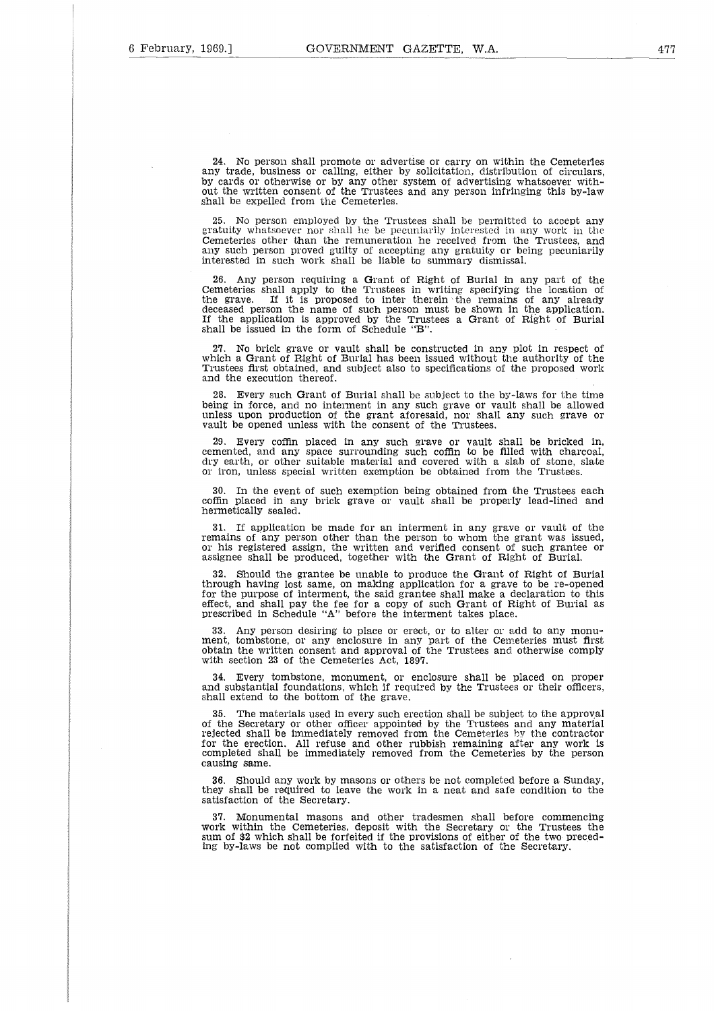24. No person shall promote or advertise or carry on within the Cemeteries any trade, business or calling, either by solicitation, distribution of circulars, by cards or otherwise or by any other system of advertising whatsoever without the written consent of the Trustees and any person infringing this by-law shall be expelled from the Cemeteries.

25. No person employed by the Trustees shall be permitted to accept any gratuity whatsoever nor shall he be pecuniarily interested in any work in the Cemeteries other than the remuneration he received from the Trustees, and any such person proved guilty of accepting any gratuity or being pecuniarily interested in such work shall be liable to summary dismissal.

26. Any person requiring a Grant of Right of Burial in any part of the Cemeteries shall apply to the Trustees in writing specifying the location of<br>the grave. If it is proposed to inter therein the remains of any already deceased person the name of such person must he shown in the application. If the application is approved by the Trustees a Grant of Right of Burial shall be issued in the form of Schedule "B".

27. No brick grave or vault shall be constructed in any plot in respect of which a Grant of Right of Burial has been issued without the authority of th Trustees first obtained, and subject also to specifications of the proposed work and the execution thereof.

Every such Grant of Burial shall be subject to the by-laws for the time being in force, and no interment in any such grave or vault shall be allowed unless upon production of the grant aforesaid, nor shall any such grave or vault he opened unless with the consent of the Trustees.

29. Every coffin placed in any such grave or vault shall be bricked in, cemented, and any space surrounding such coffin to be filled with charcoal, dry earth, or other suitable material and covered with a slab of stone, slate or iron, unless special written exemption be obtained from the Trustees.

30. In the event of such exemption being obtained from the Trustees each coffin placed in any brick grave or vault shall be properly lead-lined and hermetically sealed.

31. If application be made for an interment in any grave or vault of the remains of any person other than the person to whom the grant was issued or his registered assign, the written and verified consent of such grantee or assignee shall be produced, together with the Grant of Right of Burial.

32. Should the grantee be unable to produce the Grant of Right of Burial through having lost same, on making application for a grave to be re-opened for the purpose of interment, the said grantee shall make a declaration to this effect, and shall pay the fee for a copy of such Grant of Right of Burial as prescribed in Schedule "A" before the interment takes place.

33. Any person desiring to place or erect, or to alter or add to any monu-ment, tombstone, or any enclosure in any part of the Cemeteries must first obtain the written consent and approval of the Trustees and otherwise comply with section 23 of the Cemeteries Act, 1897.

34. Every tombstone, monument, or enclosure shall be placed on proper and substantial foundations, which if required by the Trustees or their officers shall extend to the bottom of the grave.

The materials used in every such erection shall be subject to the approval of the Secretary or other officer appointed by the Trustees and any material rejected shall be immediately removed from the Cemeteries by the contractor for the erection. All refuse and other rubbish remaining after any work is completed shall be immediately removed from the Cemeteries by the person causing same.

36. Should any work by masons or others be not completed before a Sunday, they shall be required to leave the work in a neat and safe condition to the satisfaction of the Secretary.

37. Monumental masons and other tradesmen shall before commencing work within the Cemeteries, deposit with the Secretary or the Trustees the sum of \$2 which shall be forfeited if the provisions of either of the two preceding by-laws be not complied with to the satisfaction of the Secretary.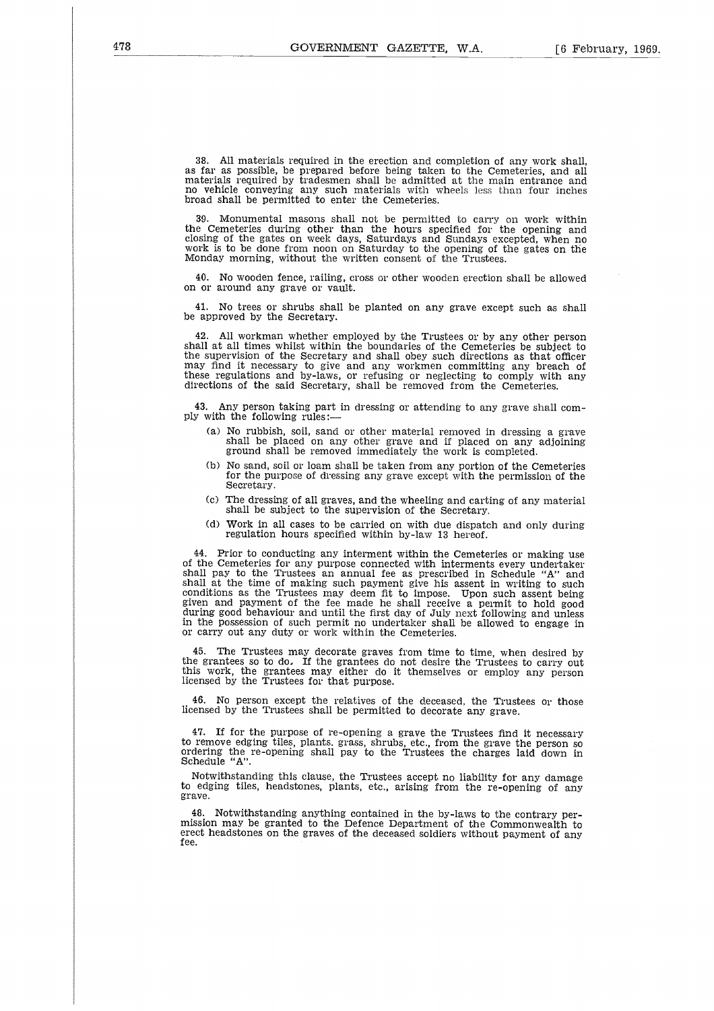38. All materials required in the erection and completion of any work shall, as far as possible, be prepared before being taken to the Cemeteries, and all materials required by tradesmen shall be admitted at the main entrance and no vehicle conveying any such materials with wheels less than four inches broad shall be permitted to enter the Cemeteries.

Monumental masons shall not be permitted to carry on work within the Cemeteries during other than the hours specified for the opening and closing of the gates on week days, Saturdays and Sundays excepted, when no work is to be done from noon on Saturday to the opening of the gates on the Monday morning, without the written consent of the Trustees.

40. No wooden fence, railing, cross or other wooden erection shall be allowed on or around any grave or vault.

41. No trees or shrubs shall be planted on any grave except such as shall be approved by the Secretary.

42. All workman whether employed by the Trustees or by any other person shall at all times whilst within the boundaries of the Cemeteries be subject to the supervision of the Secretary and shall obey such directions as that officer may find it necessary to give and any workmen committing any breach of these regulations and by-laws, or refusing or neglecting to comply with any directions of the said Secretary, shall be removed from the Cemeteries.

43. Any person taking part in dressing or attending to any grave shall comply with the following rules:

- (a) No rubbish, soil, sand or other material removed in dressing a grave shall be placed on any other grave and if placed on any adjoining ground shall be removed immediately the work is completed.
- No sand, soil or loam shall be taken from any portion of the Cemeteries for the purpose of dressing any grave except with the permission of the Secretary.
- (c) The dressing of all graves, and the wheeling and carting of any material shall be subject to the supervision of the Secretary.
- (d) Work in all cases to be carried on with due dispatch and only during regulation hours specified within by-law 13 hereof.

44. Prior to conducting any interment within the Cemeteries or making use of the Cemeteries for any purpose connected with interments every undertaker shall pay to the Trustees an annual fee as prescribed in Schedule "A" and shall at the time of making such payment give his assent in writing to such conditions as the Trustees may deem fit to impose. Upon such assent being given and payment of the fee made he shall receive a permit to hold good during good behaviour and until the first day of July next following and unless in the possession of such permit no undertaker shall be allowed to engage in or carry out any duty or work within the Cemeteries.

45. The Trustees may decorate graves from time to time, when desired by the grantees so to do, If the grantees do not desire the Trustees to carry out this work, the grantees may either do it themselves or employ any person licensed by the Trustees for that purpose.

46. No person except the relatives of the deceased, the Trustees or those licensed by the Trustees shall be permitted to decorate any grave.

47. If for the purpose of re-opening a grave the Trustees find it necessary to remove edging tiles, plants. grass, shrubs, etc., from the grave the person sc<br>ordering the re-opening shall pay to the Trustees the charges laid down in<br>Schedule "A".

Notwithstanding this clause, the Trustees accept no liability for any damage to edging tiles, headstones, plants, etc., arising from the re-opening of any grave.

48. Notwithstanding anything contained in the by-laws to the contrary permission may be granted to the Defence Department of the Commonwealth to erect headstones on the graves of the deceased soldiers without payment of any fee.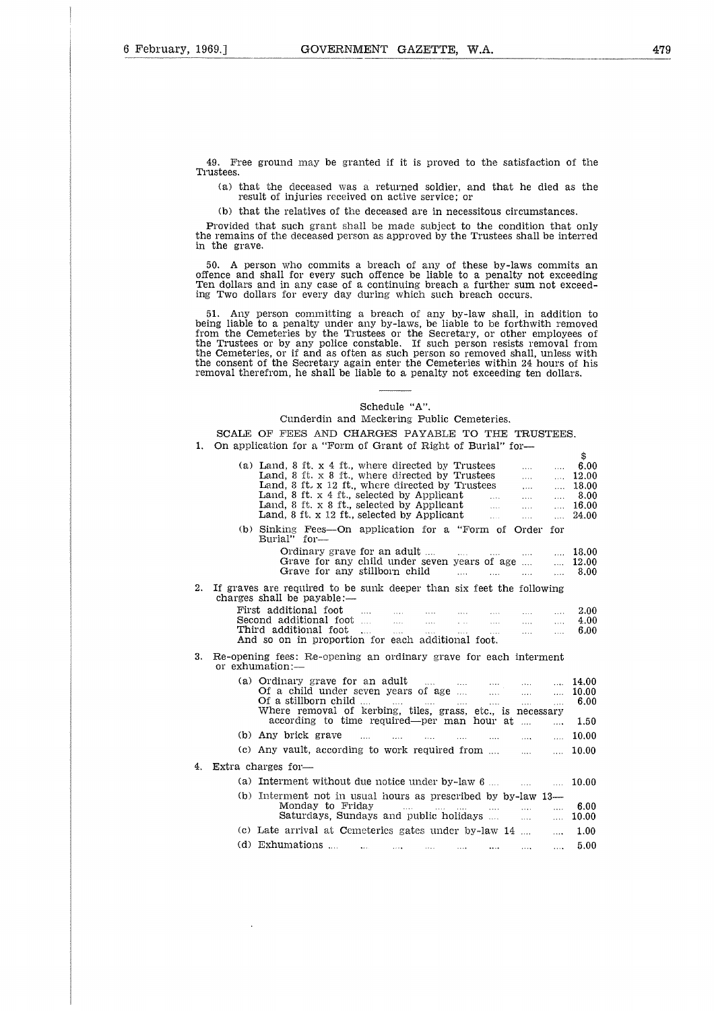49. Free ground may be granted if it is proved to the satisfaction of the Trustees.

(a) that the deceased was a returned soldier, and that he died as the result of injuries received on active service; or

(b) that the relatives of the deceased are in necessitous circumstances.

Provided that such grant shall be made subject to the condition that only the remains of the deceased person as approved by the Trustees shall be interred in the grave.

50. A person who commits a breach of any of these by-laws commits an offence and shall for every such offence be liable to a penalty not exceeding Ten dollars and in any case of a continuing breach a further sum not exceeding Two dollars for every day during which such breach occurs.

51. Any person committing a breach of any by-law shall, in addition to being liable to a penalty under any by-laws, be liable to be forthwith removed from the Cemeteries by the Trustees or the Secretary, or other employees of the Trustees or by any police constable. If such person resists removal from the Cemeteries, or if and as often as such person so removed shall, unless with the consent of the Secretary again enter the Cemeteries within 24 hours of his removal therefrom, he shall be liable to a penalty not exceeding ten dollars. (a) Land, 8 ft. x 4 ft., where directed by Trustees Land, 8 ft. x 4 ft., selected by Trustees Land, 8 ft. x 4 ft., where directed by Trustees Land, 8 ft. x 4 ft., where directed by Trustees Land, 8 ft. x 4 ft., where dire to a penalty under any by-laws, be liable to be<br>meteries by the Trustees or the Secretary, or<br>or by any police constable. If such person re<br>es, or if and as often as such person so remove<br>of the Secretary again enter the

#### Schedule "A".

| from the Cemeteries by the Trustees or the Secretary, or other employees of<br>the Trustees or by any police constable. If such person resists removal from<br>the Cemeteries, or if and as often as such person so removed shall, unless with<br>the consent of the Secretary again enter the Cemeteries within 24 hours of his<br>removal therefrom, he shall be liable to a penalty not exceeding ten dollars. |                                                                                                                    |                                                                                                                                                                                                                                                                                                                                                                     |                                                          |                                                |  |  |
|-------------------------------------------------------------------------------------------------------------------------------------------------------------------------------------------------------------------------------------------------------------------------------------------------------------------------------------------------------------------------------------------------------------------|--------------------------------------------------------------------------------------------------------------------|---------------------------------------------------------------------------------------------------------------------------------------------------------------------------------------------------------------------------------------------------------------------------------------------------------------------------------------------------------------------|----------------------------------------------------------|------------------------------------------------|--|--|
|                                                                                                                                                                                                                                                                                                                                                                                                                   |                                                                                                                    | Schedule "A".                                                                                                                                                                                                                                                                                                                                                       |                                                          |                                                |  |  |
|                                                                                                                                                                                                                                                                                                                                                                                                                   |                                                                                                                    | Cunderdin and Meckering Public Cemeteries.                                                                                                                                                                                                                                                                                                                          |                                                          |                                                |  |  |
|                                                                                                                                                                                                                                                                                                                                                                                                                   |                                                                                                                    |                                                                                                                                                                                                                                                                                                                                                                     |                                                          |                                                |  |  |
| 1.                                                                                                                                                                                                                                                                                                                                                                                                                | SCALE OF FEES AND CHARGES PAYABLE TO THE TRUSTEES.<br>On application for a "Form of Grant of Right of Burial" for- |                                                                                                                                                                                                                                                                                                                                                                     |                                                          |                                                |  |  |
|                                                                                                                                                                                                                                                                                                                                                                                                                   |                                                                                                                    | (a) Land, $8$ ft. $x \notin$ ft., where directed by Trustees<br>$\sim$<br>Land, 8 ft. $x$ 8 ft., where directed by Trustees<br><b>Second</b><br>Land, 8 ft. x 12 ft., where directed by Trustees<br><b>Second</b><br>Land, $8$ ft. $x$ 4 ft., selected by Applicant<br>$\sim 100$<br><b>Sales</b><br>Land, 8 ft, x 8 ft, selected by Applicant<br>$\sim$ 100 $\sim$ | $\ldots$<br>$\ldots$<br>$\ldots$<br>$\ldots$<br>$\cdots$ | \$<br>6.00<br>12.00<br>18.00<br>-8.00<br>16.00 |  |  |
|                                                                                                                                                                                                                                                                                                                                                                                                                   |                                                                                                                    | Land, 8 ft. x 12 ft., selected by Applicant<br>$\mathbf{L}$<br>$\cdots$                                                                                                                                                                                                                                                                                             | $\cdots$                                                 | 24.00                                          |  |  |
|                                                                                                                                                                                                                                                                                                                                                                                                                   |                                                                                                                    | (b) Sinking Fees---On application for a "Form of Order for<br>$Burial'$ for $-$                                                                                                                                                                                                                                                                                     |                                                          |                                                |  |  |
|                                                                                                                                                                                                                                                                                                                                                                                                                   |                                                                                                                    | Ordinary grave for an adult<br>$\sim$ 1.1.1 $\sim$ 1.1.1.1 $\sim$<br>$\sim$                                                                                                                                                                                                                                                                                         | $\mathbf{1}$                                             | 18.00                                          |  |  |
|                                                                                                                                                                                                                                                                                                                                                                                                                   |                                                                                                                    | Grave for any child under seven years of age                                                                                                                                                                                                                                                                                                                        | $\ddotsc$                                                | 12.00                                          |  |  |
|                                                                                                                                                                                                                                                                                                                                                                                                                   |                                                                                                                    | Grave for any stillborn child<br>and the second contract of the second second second and second second second second second second second second                                                                                                                                                                                                                    | $\ddotsc$                                                | 8.00                                           |  |  |
| 2.                                                                                                                                                                                                                                                                                                                                                                                                                |                                                                                                                    | If graves are required to be sunk deeper than six feet the following<br>charges shall be payable:—                                                                                                                                                                                                                                                                  |                                                          |                                                |  |  |
|                                                                                                                                                                                                                                                                                                                                                                                                                   |                                                                                                                    | First additional foot<br><b>Second</b>                                                                                                                                                                                                                                                                                                                              | $\mathbf{1}$                                             | 2.00                                           |  |  |
|                                                                                                                                                                                                                                                                                                                                                                                                                   |                                                                                                                    | المنتب<br>$\ldots$<br>$\mathbf{r}$                                                                                                                                                                                                                                                                                                                                  | $\ddotsc$<br>$\cdots$                                    | 4.00<br>6.00                                   |  |  |
|                                                                                                                                                                                                                                                                                                                                                                                                                   |                                                                                                                    | And so on in proportion for each additional foot.                                                                                                                                                                                                                                                                                                                   |                                                          |                                                |  |  |
| 3.                                                                                                                                                                                                                                                                                                                                                                                                                |                                                                                                                    | Re-opening fees: Re-opening an ordinary grave for each interment<br>or exhumation:—                                                                                                                                                                                                                                                                                 |                                                          |                                                |  |  |
|                                                                                                                                                                                                                                                                                                                                                                                                                   |                                                                                                                    | (a) Ordinary grave for an adult $\dots$ $\dots$ $\dots$ $\dots$ $\dots$                                                                                                                                                                                                                                                                                             | $\cdots$                                                 | 14.00                                          |  |  |
|                                                                                                                                                                                                                                                                                                                                                                                                                   |                                                                                                                    | and the state                                                                                                                                                                                                                                                                                                                                                       | $\ldots$                                                 | 10.00<br>6.00                                  |  |  |
|                                                                                                                                                                                                                                                                                                                                                                                                                   |                                                                                                                    | Where removal of kerbing, tiles, grass, etc., is necessary                                                                                                                                                                                                                                                                                                          |                                                          |                                                |  |  |
|                                                                                                                                                                                                                                                                                                                                                                                                                   |                                                                                                                    | according to time required—per man hour at                                                                                                                                                                                                                                                                                                                          | $\sim$                                                   | 1.50                                           |  |  |
|                                                                                                                                                                                                                                                                                                                                                                                                                   |                                                                                                                    | (b) Any brick grave<br>$\sim$ 1000 $\sim$ 1000 $\sim$<br><b>Contact Contact Contact</b><br>and the company of the company of the company of the company of the company of the company of the company of the                                                                                                                                                         | $\ldots$                                                 | 10.00                                          |  |  |
|                                                                                                                                                                                                                                                                                                                                                                                                                   |                                                                                                                    | (c) Any vault, according to work required from                                                                                                                                                                                                                                                                                                                      |                                                          | 10.00                                          |  |  |
| 4.                                                                                                                                                                                                                                                                                                                                                                                                                |                                                                                                                    | Extra charges for-                                                                                                                                                                                                                                                                                                                                                  |                                                          |                                                |  |  |
|                                                                                                                                                                                                                                                                                                                                                                                                                   |                                                                                                                    | (a) Interment without due notice under $by$ -law $6 \ldots$<br>$\mathbf{r}$ and $\mathbf{r}$ are associated to the set of the set of the set of the set of the set of the set of the set of the set of the set of the set of the set of the set of the set of the set of the set of the set of the s                                                                |                                                          | 10.00                                          |  |  |
|                                                                                                                                                                                                                                                                                                                                                                                                                   |                                                                                                                    | $(b)$ Interment not in usual hours as prescribed by by-law 13—<br>Monday to Friday and the contract of the contract of the set of the set of the set of the set of the set of the<br>Saturdays, Sundays and public holidays                                                                                                                                         | $\cdots$<br>المحدد                                       | 6.00<br>10.00                                  |  |  |
|                                                                                                                                                                                                                                                                                                                                                                                                                   |                                                                                                                    | (c) Late arrival at Cemeteries gates under by-law 14                                                                                                                                                                                                                                                                                                                | $\cdots$                                                 | 1.00                                           |  |  |
|                                                                                                                                                                                                                                                                                                                                                                                                                   |                                                                                                                    | (d) Exhumations $\dots$ $\dots$ $\dots$<br><b>Allen Construction</b><br>and the state<br>1.111                                                                                                                                                                                                                                                                      | $\cdots$                                                 | 5.00                                           |  |  |
|                                                                                                                                                                                                                                                                                                                                                                                                                   |                                                                                                                    |                                                                                                                                                                                                                                                                                                                                                                     |                                                          |                                                |  |  |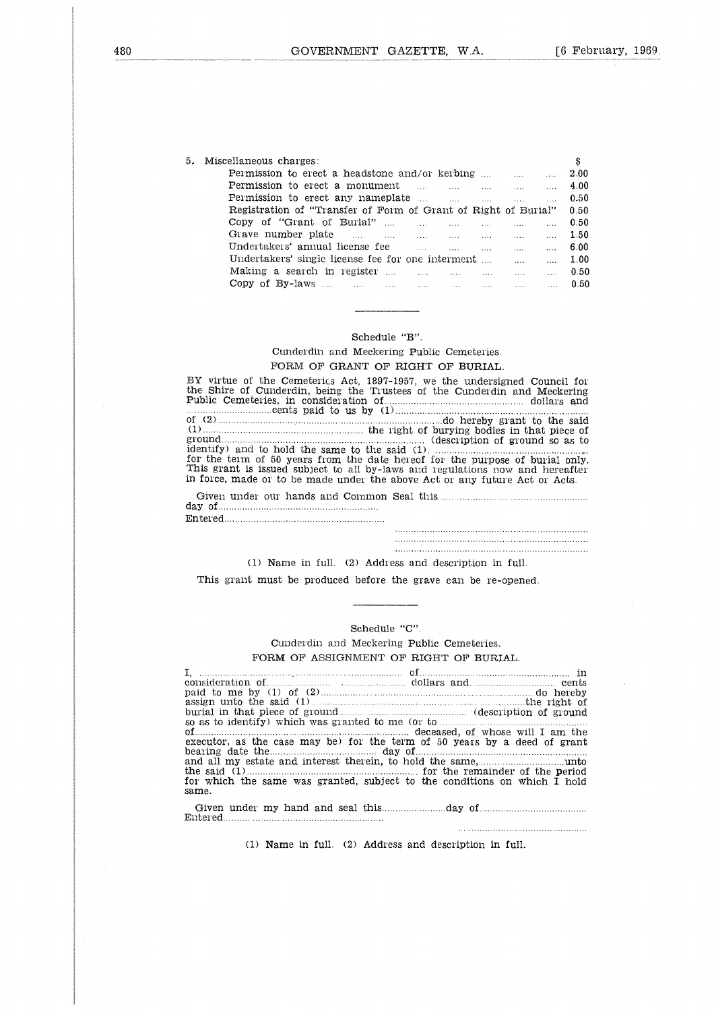| GOVERNMENT GAZETTE.<br>W.A.                                                                                                                                                                                                                                         |
|---------------------------------------------------------------------------------------------------------------------------------------------------------------------------------------------------------------------------------------------------------------------|
|                                                                                                                                                                                                                                                                     |
|                                                                                                                                                                                                                                                                     |
|                                                                                                                                                                                                                                                                     |
|                                                                                                                                                                                                                                                                     |
|                                                                                                                                                                                                                                                                     |
|                                                                                                                                                                                                                                                                     |
| Miscellaneous charges:                                                                                                                                                                                                                                              |
| <b>Permission to erect a headstone and/or kerbing </b>                                                                                                                                                                                                              |
| Permission to erect a monument<br>$\frac{1}{2}$ . The contract of the contract of the contract of the contract of the contract of the contract of the contract of the contract of the contract of the contract of the contract of the contract of the contract of t |
| Permission to erect any nameplate<br>$\mathbf{r}$                                                                                                                                                                                                                   |
| Registration of "Transfer of Form of Grant of Right of Burial"                                                                                                                                                                                                      |
| Copy of "Grant of Burial"<br><b>Saab</b> i Co                                                                                                                                                                                                                       |
| Grave number plate the same that the same contracts of the same of the same of the same of the same of the same of the same of the same of the same of the same of the same of the same of the same of the same of the same of                                      |
| Undertakers' annual license fee<br>المتحدث المحدث المنابي وبمحدث المحدث المناب                                                                                                                                                                                      |
| Undertakers' single license fee for one interment<br>$\cdots$                                                                                                                                                                                                       |
|                                                                                                                                                                                                                                                                     |

#### Schedule "B".

## Cunderdin and Meckering Public Cemeteries. FORM OF GRANT OF RIGHT OF BURIAL.

BY virtue of the Cemeterics Act, 1897-1957, we the undersigned Council for the Shire of Cunderdin, being the Trustees of the Cunderdin and Meckering Public Cemeteries, in consideration of dollars and cents paid to us by (1) of (2) do hereby grant to the said (1) the right of burying bodies in that piece of Schedule "B".<br>
Schedule "B".<br>
FORM OF GRANT OF RIGHT OF BURIAL.<br>
BY virtue of the Cemeterics Act, 1897-1957, we the undersigned Council for<br>
the Shire of Cundentin, being the Trustees of the Cundentin and Meckering<br>
Public identify) and to hold the same to the said (1) for the term of 50 years from the date hereof for the purpose of burial only, This grant is issued subject to all by-laws and regulations now and hereafter in force, made or to be made under the above Act or any future Act or Acts. ri<br>hi ...<br>...<br>...<br>re ... 

Entered day of <u>communications</u> of the contract of the contract of the contract of the contract of the contract of the contract of the contract of the contract of the contract of the contract of the contract of the contract of the Given under our hands and Common Seal this

(1) Name in full. (2) Address and description in full.

This grant must be produced before the grave can be re-opened.

#### Schedule "C".

Cunderdin and Meckering Public Cemeteries. FORM OF ASSIGNMENT OF RIGHT OF BURIAL.

י.<br>ת<br>השפט and description in full.<br>
e grave can be re-opened.<br>
"C".<br>
Fublic Cemeteries.<br>
FRIGHT OF BURIAL.<br>
of dollars and do hereby<br>
chereby<br>
(description of ground) consideration of<br>
consideration of any other was granted to me of the constrained before the<br>
consideration of<br>
Cunderdin and Meckering Public Cemeteries.<br>
FORM OF ASSIGNMENT OF RIGHT OF BURIAL.<br>
I, consideration of any (1 (1) Name in full. (2) Address and description in full.<br>
This grant must be produced before the grave can be re-opened.<br>
<br>
<br>
<br>
<br>
<br>
<br>
Cunderdin and Meckering Public Cemeteries.<br>
FORM OF ASSIGNMENT OF RIGHT OF BURIAL.<br>
<br>
<br>
<br> of <u>the case may</u> be for the term of 50 years by a deed of grant bearing date the case may be for the term of 50 years by a deed of grant bearing date the case may be for the term of 50 years by a deed of grant so as to identify) which was granted to me (or to Schedule "C".<br>
Cunderdin and Meckering Public Cemeteries.<br>
FORM OF ASSIGNMENT OF RIGHT OF BURIAL.<br>
sign unto the said (1)<br>
ansideration of example in the said (1)<br>
as to identify) which was granted to me (or to the exampl and all my estate and interest therein, to hold the same Schedule "C".<br>
Cunderdin and Meckering Pu<br>
RM OF ASSIGNMENT OF R.<br>
of<br>
dd<br>
dd (1)<br>
said (1)<br>
which was granted to me (0)<br>
case may be) for the term<br>
day of<br>
and interest therein, to hold<br>
me was granted, subject to<br>
me was unto  $\begin{tabular}{l|c|c|c|c|c} \multicolumn{1}{c}{\textbf{Schedule "C".}} \\ \hline \multicolumn{1}{c}{\textbf{I,}} & \multicolumn{1}{c}{\textbf{I,}} & \multicolumn{1}{c}{\textbf{I,}} & \multicolumn{1}{c}{\textbf{I,}} & \multicolumn{1}{c}{\textbf{I,}} & \multicolumn{1}{c}{\textbf{I,}} & \multicolumn{1}{c}{\textbf{I,}} & \multicolumn{1}{c}{\textbf{I,}} & \multicolumn{1}{c}{\textbf{I,}} & \multicolumn{1}{c}{\textbf{I,}} & \multicolumn{1}{$ for which the same was granted, subject to the conditions on which I hold same.  $\begin{bmatrix} 1 & 0 & 0 \\ 0 & 0 & 0 \\ 0 & 0 & 0 \\ 0 & 0 & 0 \\ 0 & 0 & 0 \\ 0 & 0 & 0 \\ 0 & 0 & 0 \\ 0 & 0 & 0 \\ 0 & 0 & 0 \\ 0 & 0 & 0 \\ 0 & 0 & 0 \\ 0 & 0 & 0 \\ 0 & 0 & 0 \\ 0 & 0 & 0 \\ 0 & 0 & 0 & 0 \\ 0 & 0 & 0 & 0 \\ 0 & 0 & 0 & 0 \\ 0 & 0 & 0 & 0 \\ 0 & 0 & 0 & 0 & 0 \\ 0 & 0 & 0 & 0 & 0 \\ 0 & 0 & 0 &$  $\begin{array}{r}\n\text{O}F \text{ HIGHI OF B1}\n\hline\n\text{of} \text{1}\n\end{array}\n\quad \text{of} \text{1}\n\quad \text{of} \text{1}\n\quad \text{of} \text{1}\n\end{array}\n\quad \text{(d) \text{me} (or to \text{1}\text{1}\text{2})\n\quad \text{deceased, of }\n\text{1}\n\quad \text{(d) \text{1}\text{2}\text{2}\text{2}}\n\quad \text{(e) \text{1}\text{2}\text{2}}\n\quad \text{(f) \text{2}}\n\quad \text{(g) \text{2}}\n\quad \text{($ 

Entered Given under my hand and seal this

(1) Name in full. (2) Address and description in full.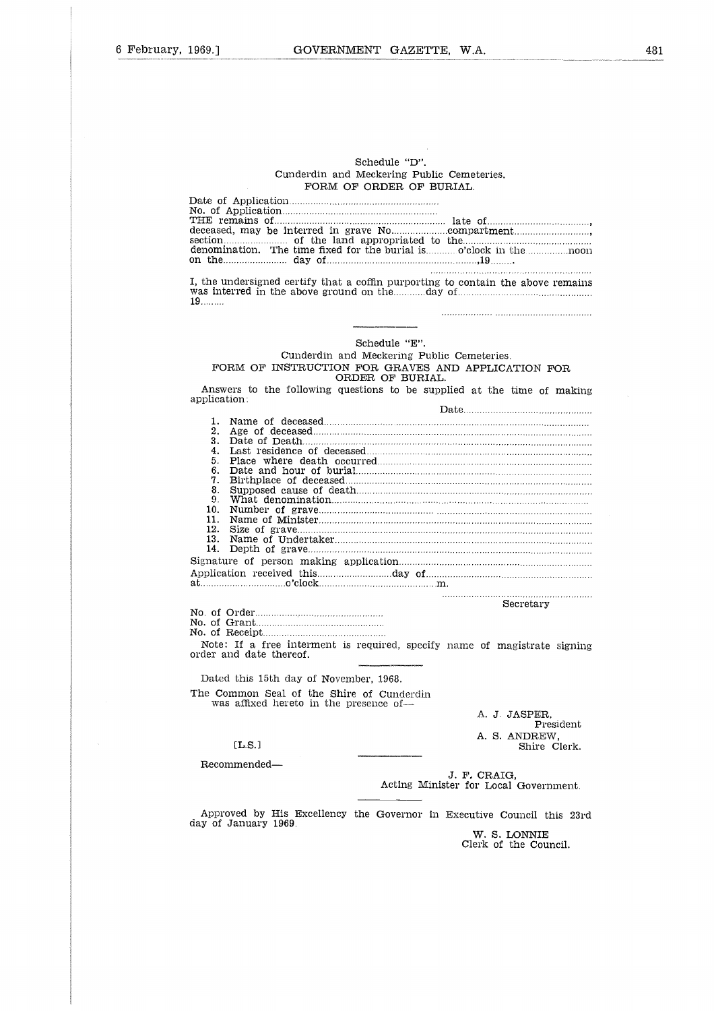#### Schedule "D". Cunderdin and Meckering Public Cemeteries. FORM OF ORDER OF BURIAL.

| 1909. I      | GOVERNMENI GAZEIIE,<br>W.A.                                                      |
|--------------|----------------------------------------------------------------------------------|
|              |                                                                                  |
|              |                                                                                  |
|              |                                                                                  |
|              |                                                                                  |
|              |                                                                                  |
|              |                                                                                  |
|              |                                                                                  |
|              |                                                                                  |
|              |                                                                                  |
|              | Schedule "D".                                                                    |
|              | Cunderdin and Meckering Public Cemeteries.                                       |
|              | FORM OF ORDER OF BURIAL.                                                         |
|              |                                                                                  |
|              |                                                                                  |
|              |                                                                                  |
|              |                                                                                  |
|              |                                                                                  |
|              |                                                                                  |
|              |                                                                                  |
|              |                                                                                  |
|              | I, the undersigned certify that a coffin purporting to contain the above remains |
|              |                                                                                  |
| 19           |                                                                                  |
|              |                                                                                  |
|              |                                                                                  |
|              |                                                                                  |
|              | Schedule "E".                                                                    |
|              | Cunderdin and Meckering Public Cemeteries.                                       |
|              |                                                                                  |
|              | FORM OF INSTRUCTION FOR GRAVES AND APPLICATION FOR                               |
|              | ORDER OF BURIAL.                                                                 |
|              | Answers to the following questions to be supplied at the time of making          |
| application: |                                                                                  |
|              |                                                                                  |
| 1.           |                                                                                  |
| 2.           |                                                                                  |
| 3.<br>4.     |                                                                                  |
| 5.           |                                                                                  |
| 6.           |                                                                                  |
| 7.           |                                                                                  |
| 8.           |                                                                                  |
| 9.           |                                                                                  |
| 10.          |                                                                                  |
| 11.          |                                                                                  |
| 12.          |                                                                                  |
| 13.          |                                                                                  |
| 14.          |                                                                                  |
|              |                                                                                  |
|              |                                                                                  |
|              |                                                                                  |
|              |                                                                                  |
|              | Secretary                                                                        |
|              |                                                                                  |
|              |                                                                                  |
|              |                                                                                  |
|              | Note: If a free interment is required, specify name of magistrate signing        |
|              | order and date thereof.                                                          |
|              |                                                                                  |
|              |                                                                                  |

No. of Grant

Dated this 15th day of November, 1968. The Common Seal of the Shire of Cunderdin was affixed hereto in the presence of rder.....<br>rant.....<br>eceipt.<br>If a fd date<br>this 1:<br>nmon<br>affixed<br>[L.S.]<br>mende

A. J. JASPER, President A. S. ANDREW, Shire Clerk.

 $[L.S.]$ Recommended

> J. F, CRAIG, Acting Minister for Local Government.

Approved by His Excellency the Governor in Executive Council this 23rd day of January 1969.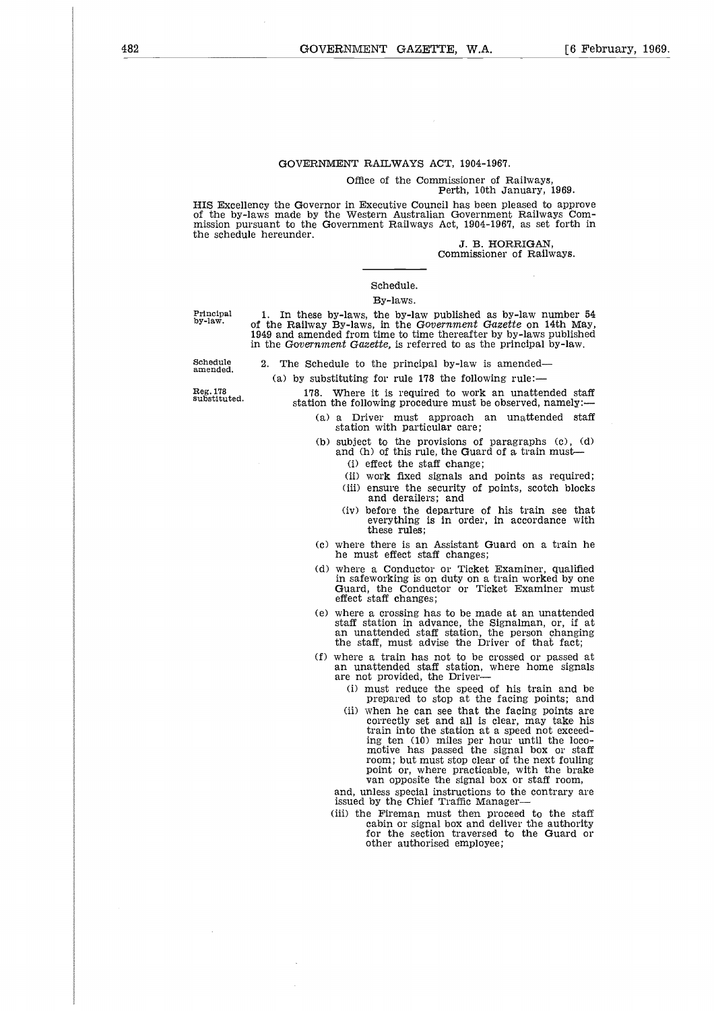## GOVERNMENT RAILWAYS ACT, 1904-1967.

Office of the Commissioner of Railways,

## Perth, 10th January, 1969.

HIS Excellency the Governor in Executive Council has been pleased to approve of the by-laws made by the Western Australian Government Railways Commission pursuant to the Government Railways Act, 1904-1967, as set forth in the schedule hereunder.

J. B. HORRIGAN, Commissioner of Railways.

#### Schedule.

#### By-laws.

Principal by-law.

1. In these by-laws, the by-law published as by-law number 54 of the Railway By-laws, in the *Government Gazette* on 14th May, 1949 and amended from time to time thereafter by by-laws published in the *Government Gazette,* is referred to as the principal by-law.

Schedule amended.

The Schedule to the principal by-law is amended-(a) by substituting for rule 178 the following rule:-

178. Where it is required to work an unattended staff station the following procedure must be observed, namely:

(a) a Driver must approach an unattended staff station with particular care;

(b) subject to the provisions of paragraphs (c), (d) and (h) of this rule, the Guard of a train must-

- (i) effect the staff change;
- (ii) work fixed signals and points as required;
- (iii) ensure the security of points, scotch blocks and derailers; and
- (iv) before the departure of his train see that everything is in order, in accordance with these rules;
- (c) where there is an Assistant Guard on a train he he must effect staff changes;
- (d) where a Conductor or Ticket Examiner, qualified in safeworking is on duty on a train worked by one Guard, the Conductor or Ticket Examiner must effect staff changes;
- (e) where a crossing has to be made at an unattended staff station in advance, the Signalman, or, if at an unattended staff station, the person changing the staff, must advise the Driver of that fact;
- (f) where a train has not to be crossed or passed at an unattended staff station, where home signals are not provided, the Driver-
	- (i) must reduce the speed of his train and be prepared to stop at the facing points; and
	- (ii) when he can see that the facing points are correctly set and all is clear, may take his train into the station at a speed not exceeding ten (10) miles per hour until the loco-motive has passed the signal box or staff room; but must stop clear of the next fouling point or, where practicable, with the brake van opposite the signal box or staff room,

and, unless special instructions to the contrary are issued by the Chief Traffic Manager

(iii) the Fireman must then proceed to the staff cabin or signal box and deliver the authority for the section traversed to the Guard or other authorised employee;

Reg. 178 substituted.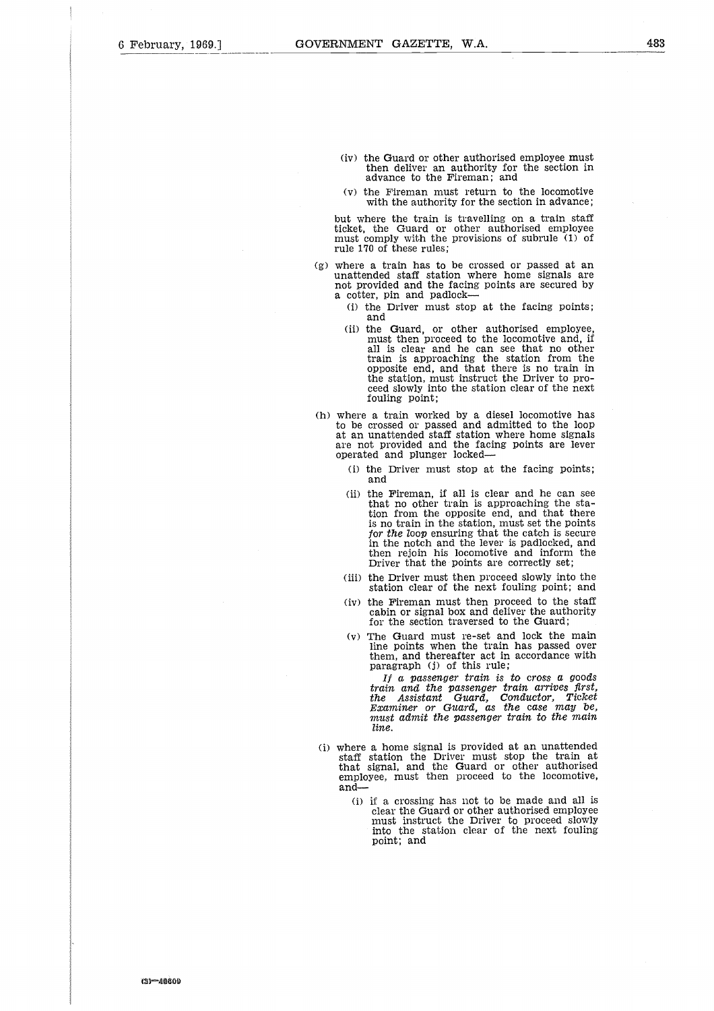- (iv) the Guard or other authorised employee must then deliver an authority for the section in advance to the Fireman; and
- (v) the Fireman must return to the locomotive with the authority for the section in advance;

but where the train is travelling on a train staff ticket, the Guard or other authorised employee must comply with the provisions of subrule (1) of rule 170 of these rules;

- (g) where a train has to be crossed or passed at an unattended staff station where home signals are not provided and the facing points are secured by a cotter, pin and padlock-
	- (i) the Driver must stop at the facing points; and
	- (ii) the Guard, or other authorised employee, must then proceed to the locomotive and, if all is clear and he can see that no other train is approaching the station from the opposite end, and that there is no train in the station, must instruct the Driver to proceed slowly into the station clear of the next fouling point;
- (h) where a train worked by a diesel locomotive has to be crossed or passed and admitted to the loop at an unattended staff station where home signals are not provided and the facing points are lever operated and plunger locked-
	- (i) the Driver must stop at the facing points; and
	- (ii) the Fireman, if all is clear and he can see that no other train is approaching the station from the opposite end, and that there is no train in the station, must set the points *for the loop* ensuring that the catch is secure in the notch and the lever is padlocked, and then rejoin his locomotive and inform the Driver that the points are correctly set;
	- (iii) the Driver must then proceed slowly into the station clear of the next fouling point; and
	- (iv) the Fireman must then proceed to the staff cabin or signal box and deliver the authority for the section traversed to the Guard;
	- (v) The Guard must re-set and lock the main line points when the train has passed over them, and thereafter act in accordance with paragraph (j) of this rule;

*If a passenger train is to cross a goods train and the passenger train arrives first, the Assistant Guard, Conductor, Ticket Examiner or Guard, as the case* may *be,* must admit *the passenger train to the* main *line.*

- (i) where a home signal is provided at an unattended staff station the Driver must stop the train at that signal, and the Guard or other authorised employee, must then proceed to the locomotive, and-
	- (i) if a crossing has not to be made and all is clear the Guard or other authorised employee must instruct the Driver to proceed slowly into the station clear of the next fouling point; and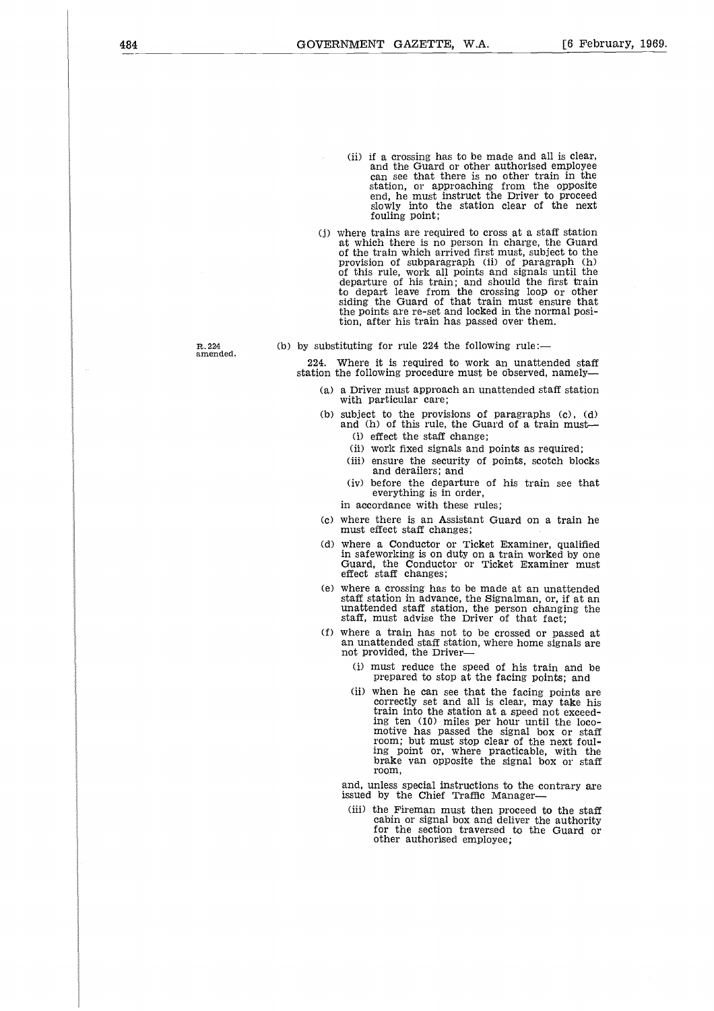- (ii) if a crossing has to be made and all is clear and the Guard or other authorised employee can see that there is no other train in the station, or approaching from the opposite end, he must instruct the Driver to proceed slowly into the station clear of the next fouling point;
- (j) where trains are required to cross at a staff station at which there is no person in charge, the Guard of the train which arrived first must, subject to the provision of subparagraph (ii) of paragraph (h) of this rule, work all points and signals until the departure of his train; and should the first train to depart leave from the crossing loop or other siding the Guard of that train must ensure that the points are re-set and locked in the normal position, after his train has passed over them.

R. 224 amended. (b) by substituting for rule  $224$  the following rule:-

224. Where it is required to work an unattended staff station the following procedure must be observed, namely

- (a) a Driver must approach an unattended staff station with particular care;
- (b) subject to the provisions of paragraphs (c), (d) and (h) of this rule, the Guard of a train must-
	- (i) effect the staff change;
	- (ii) work fixed signals and points as required;
	- (iii) ensure the security of points, scotch blocks and derailers; and
	- (iv) before the departure of his train see that everything is in order,
	- in accordance with these rules;
- (c) where there is an Assistant Guard on a train he must effect staff changes;
- (d) where a Conductor or Ticket Examiner, qualified in safeworking is on duty on a train worked by one Guard, the Conductor or Ticket Examiner must effect staff changes;
- (e) where a crossing has to be made at an unattended staff station in advance, the Signalman, or, if at an unattended staff station, the person changing the staff, must advise the Driver of that fact;
- (f) where a train has not to be crossed or passed at an unattended staff station, where home signals are not provided, the Driver-
	- (i) must reduce the speed of his train and be prepared to stop at the facing points; and
	- (ii) when he can see that the facing points are correctly set and all is clear, may take his train into the station at a speed not exceeding ten (10) miles per hour until the loco-motive has passed the signal box or staff room; but must stop clear of the next fouling point or, where practicable, with the brake van opposite the signal box or staff room,

and, unless special instructions to the contrary are issued by the Chief Traffic Manager

(iii) the Fireman must then proceed to the staff cabin or signal box and deliver the authority for the section traversed to the Guard or other authorised employee;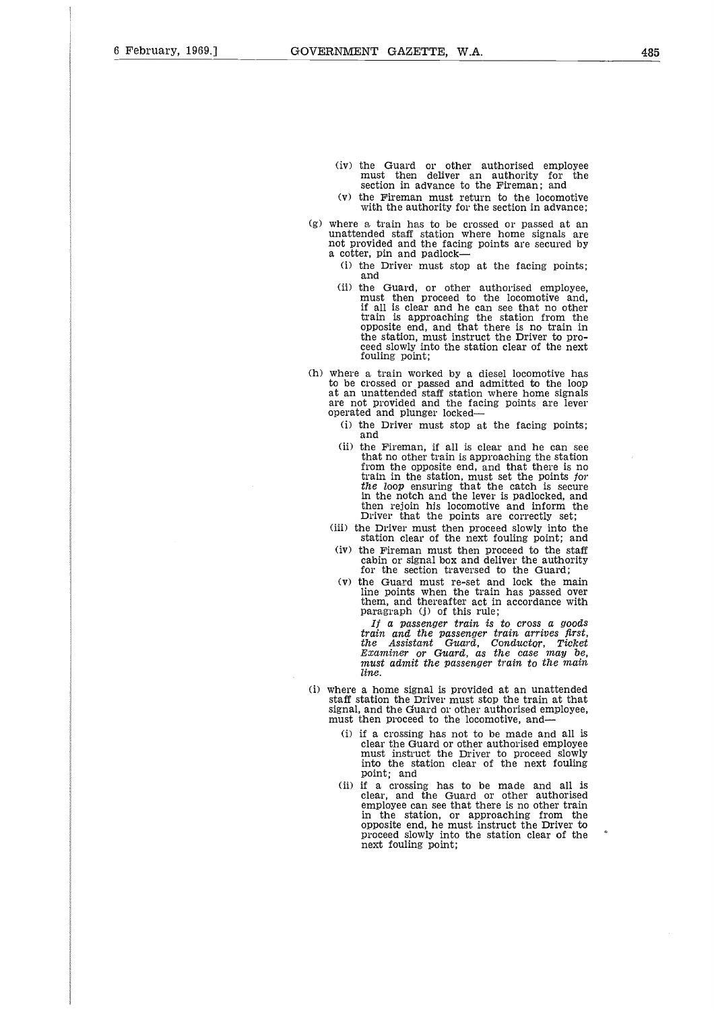- (iv) the Guard or other authorised employee must then deliver an authority for the section in advance to the Fireman; and
- (v) the Fireman must return to the locomotive with the authority for the section in advance;
- (g) where a train has to be crossed or passed at an unattended staff station where home signals are not provided and the facing points are secured by a cotter, pin and padlock-
	- (i) the Driver must stop at the facing points; and
	- (ii) the Guard, or other authorised employee must then proceed to the locomotive and, if all is clear and he can see that no other train is approaching the station from the opposite end, and that there is no train in the station, must instruct the Driver to proceed slowly into the station clear of the next fouling point;
- (h) where a train worked by a diesel locomotive has to be crossed or passed and admitted to the loop at an unattended staff station where home signals are not provided and the facing points are lever operated and plunger locked-
	- (i) the Driver must stop at the facing points; and
	- (ii) the Fireman, if all is clear and he can see that no other train is approaching the station from the opposite end, and that there is no train in the station, must set the points for *the loop* ensuring that the catch is secure in the notch and the lever is padlocked, and then rejoin his locomotive and inform the Driver that the points are correctly set;
	- (iii) the Driver must then proceed slowly into the station clear of the next fouling point; and
	- (iv) the Fireman must then proceed to the staff cabin or signal box and deliver the authority for the section traversed to the Guard;
	- (v) the Guard must re-set and lock the main line points when the train has passed over them, and thereafter act in accordance with paragraph (j) of this rule;

*If a passenger train is to cross a goods train and the passenger train arrives first, the Assistant Guard, Conductor, Ticket Examiner* or *Guard, as the case* may *be, must admit the passenger train to the main line.*

- (i) where a home signal is provided at an unattended staff station the Driver must stop the train at that signal, and the Guard or other authorised employee, must then proceed to the locomotive, and-
	- (i) if a crossing has not to be made and all is clear the Guard or other authorised employee must instruct the Driver to proceed slowly into the station clear of the next fouling point; and
	- (ii) if a crossing has to be made and all is clear, and the Guard or other authorised employee can see that there is no other train in the station, or approaching from the opposite end, he must instruct the Driver to proceed slowly into the station clear of the next fouling point;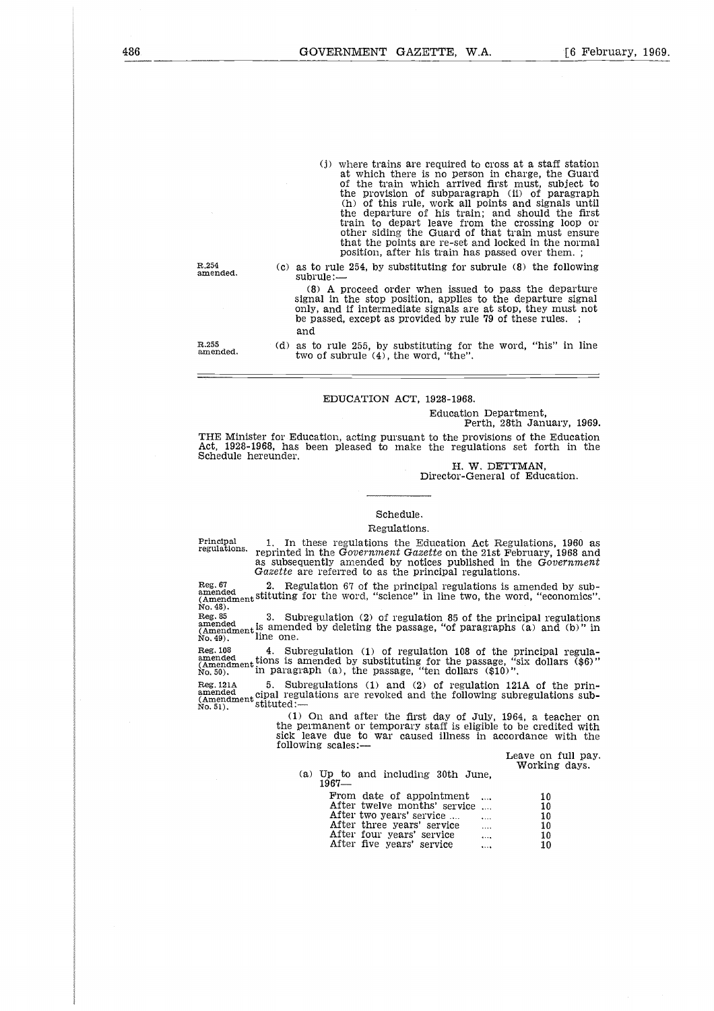(j) where trains are required to cross at a staff station at which there is no person in charge, the Guard of the train which arrived first must, subject to the provision of subparagraph (ii) of paragraph (h) of this rule, work all points and signals until the departure of his train; and should the first train to depart leave from the crossing loop or other siding the Guard of that train must ensure that the points are re-set and locked in the normal position, after his train has passed over them. ;

(c) as to rule 254, by substituting for subrule (8) the following subrule:-

(8) A proceed order when issued to pass the departure signal in the stop position, applies to the departure signal only, and if intermediate signals are at stop, they must not be passed, except as provided by rule 79 of these rules. and

R.255 amended.

(d) as to rule 255, by substituting for the word, "his" in line two of subrule (4), the word, "the".

#### EDUCATION ACT, 1928-1968.

Education Department,

Perth, 28th January, 1969.

THE Minister for Education, acting pursuant to the provisions of the Education Act, 1928-1968, has been pleased to make the regulations set forth in the Schedule hereunder. EDUCATION ACT, 1928-1968.<br>
Education Department,<br>
Perth, 28th January, 1969<br>
Act, 1928-1968, has been pleased to make the provisions of the Education<br>
Schedule hereunder.<br>
H. W. DETTMAN,<br>
Director-General of Education.<br>
H.

H. W. DETTMAN, Director-General of Education.

#### Schedule.

#### Regulations.

regulations. reprinted in the *Government Gazette* on the 21st February, 1968 and as subsequently amended by notices published in the *Government*

*Gazette* are referred to as the principal regulations. Reg. 67ed 2. Regulation 67 of the principal regulations is amended by sub- Reg (Amendment stituting for the word, "science" in line two, the word, "economics". No. 48).  $\frac{2}{6}$  $\begin{tabular}{ll} \textbf{Princpal} & 1. & \textbf{In} \\ \textbf{regulations.} & \textbf{repinite} \\ \textbf{as subse} & \textbf{Gacette} \\ \textbf{Reg. 67} & 2. & \textbf{Re} \\ \textbf{(Amendment Stittting)} \\ \textbf{No. 49).} & \textbf{3.} & \textbf{Su} \\ \textbf{amended} \\ \textbf{No. 49).} & \textbf{1ine one.} \\ \textbf{Reg. 108} & 4. & \textbf{Su} \\ \textbf{(Amendmedations is} \\ \textbf{No. 50).} & \textbf{in parag} \\ \end{tabular$ Schedule.<br>
Regulations. The regulations of regulations.<br>
Regulations of regulations is expected in the Government Gazette on the 21st February, 1968 and<br>
as subsequently amended by notices published in the Government<br>
Gaz Frincipal 1. In these regulations.<br>
Regulations is amended in the Government Gazette on the 21st February, 1968 and<br>
as subsequently amended by notices published in the Government<br>
Gazette are referred to as the principal Frincipal 1. In these regulations the Education Act Regulations, 1960 as<br>regulations. reprinted in the Government Gazette on the 21st February, 1968 and<br>as subsequently amended by notices published in the Government<br>Gazet

(Amendment *Correlation Camendon, 2002)*<br>
Reg. 85 3. Subregulation (2) of regulation 85 of the principal regulations<br>
amendded by deleting the passage, "of paragraphs (a) and (b)" in<br>
(Amendment is

amended<br>(Amendment cipal regulations are revoked and the following subregulations sub-<br>No. 51).

(1) On and after the first day of July, 1964, a teacher on the permanent or temporary staff is eligible to be credited with sick leave due to war caused illness in accordance with the following scales: ment of temporary staff is eligible to be cred<br>
due to war caused illness in accordance<br>
scales:—<br>
Leave on<br>
p to and including 30th June,<br>
From date of appointment ... 10<br>
After twelve months' service ... 10<br>
After two ye

Leave on full pay. Working days.

(a) Up to and including 30th June,  $1967-$ 

| lations $(1)$ and $(2)$ of regulation 121A of<br>ns are revoked and the following subregulat                                                          |                                                                                   |
|-------------------------------------------------------------------------------------------------------------------------------------------------------|-----------------------------------------------------------------------------------|
| and after the first day of July, 1964, a te<br>nent or temporary staff is eligible to be cred<br>due to war caused illness in accordance<br>scales :— |                                                                                   |
| p to and including 30th June.<br>367—                                                                                                                 | Leave on<br>Workir                                                                |
| From date of appointment<br>After twelve months' service<br>After two years' service<br>After three years' service<br>After four years' service       | 10<br>.<br>10<br>$\ddotsc$<br>10<br>$\ddotsc$<br>10<br>$\cdots$<br>10<br>$\cdots$ |
| After five years' service                                                                                                                             | 10<br>                                                                            |

R.254 amended.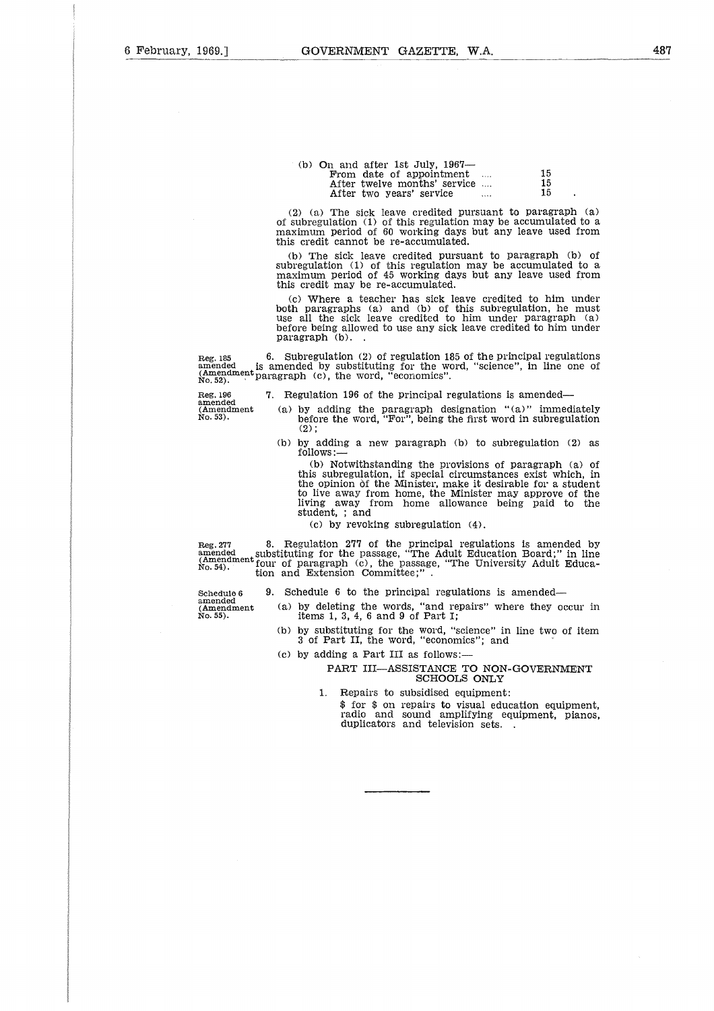| -<br>- |  |
|--------|--|
|        |  |
|        |  |

| (b) On and after 1st July, $1967-$<br>From date of appointment<br>After twelve months' service<br>After two years' service | 15<br>15<br>15 |
|----------------------------------------------------------------------------------------------------------------------------|----------------|

(2) (a) The sick leave credited pursuant to paragraph (a) of subregulation (1) of this regulation may be accumulated to a maximum period of 60 working days but any leave used from this credit cannot be re-accumulated.

(b) The sick leave credited pursuant to paragraph (b) of subregulation (1) of this regulation may be accumulated to a maximum period of 45 working days but any leave used from this credit may be re-accumulated.

(c) Where a teacher has sick leave credited to him under both paragraphs (a) and (b) of this subregulation, he must use all the sick leave credited to him under paragraph (a) before being allowed to use any sick leave credited to him under paragraph (b). (2) (a) The sick leave credited pursuant to paragraph (a) of abregulation (1) of this regulation may be accumulated to a maximum period of 60 working days but any leave used from this credit cannot be re-accumulated.<br>
(b) (Amendment period of 45 working days but any be accumulated to a<br>maximum period of 45 working days but any leave used from<br>this credit may be re-accumulated.<br>(c) Where a teacher has sick leave credited to him under<br>both p before the word, "science" (a) "mediately and the working days but any leave used from credit may be re-accumulated.<br>
Where a teacher has sick leave credited to him under paragraphs (a) and (b) of this subregulation, he m

 $\frac{5}{3}$ <br> $\frac{3}{3}$ <br> $\frac{3}{3}$ 

No. 53).

- 
- (b) by adding a new paragraph (b) to subregulation (2) as follows:—

(b) Notwithstanding the provisions of paragraph (a) of this subregulation, if special circumstances exist which, in the opinion Of the Minister, make it desirable for a student to live away from home, the Minister may approve of the living away from home allowance being paid to the student, ; and Reg. 277 8. Regulation 190 of the principal regulations is amended—<br>
Mo. 53). Solong the paragraph designation "(a)" immediately<br>
No. 53). (b) by adding a new paragraph (b) to subregulation (2) as<br>  $(2)$ ; (b) by adding a Schedule 6 9. Schedule 6 6 to the principal regulations is amended<br>
Schedule 6 to the principal regulation is amended<br>
the opinion of the Minister, make it desirable for a section<br>
tion is away from home allowance being p

(c) by revoking subregulation (4).

substituting for the passage, "The Adult Education Board;" in line (Amendment four of paragraph (c), the passage, "The University Adult Educa-<br>No. 54). tion and Extension Committee;". 7<br>| ec<br>| 1:<br>| ec

amended No. 55). (Amendment

- (a) by deleting the words, "and repairs" where they occur in items 1, 3, 4, 6 and 9 of Part I;
- (b) by substituting for the word, "science" in line two of item 3 of Part II, the word, "economics"; and
- (c) by adding a Part III as follows:

#### PART III—ASSISTANCE TO NON-GOVERNMENT SCHOOLS ONLY

- 1. Repairs to subsidised equipment:
	- \$ for \$ on repairs to visual education equipment, radio and sound amplifying equipment, pianos, duplicators and television sets. .